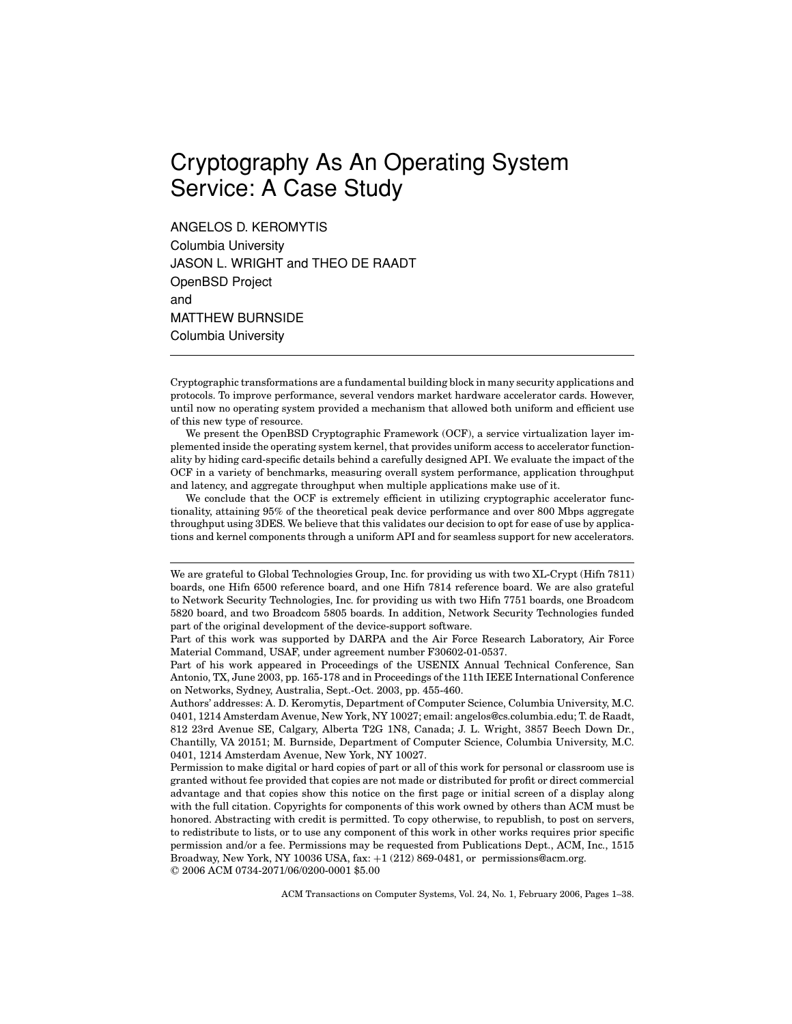# Cryptography As An Operating System Service: A Case Study

ANGELOS D. KEROMYTIS Columbia University JASON L. WRIGHT and THEO DE RAADT OpenBSD Project and MATTHEW BURNSIDE Columbia University

Cryptographic transformations are a fundamental building block in many security applications and protocols. To improve performance, several vendors market hardware accelerator cards. However, until now no operating system provided a mechanism that allowed both uniform and efficient use of this new type of resource.

We present the OpenBSD Cryptographic Framework (OCF), a service virtualization layer implemented inside the operating system kernel, that provides uniform access to accelerator functionality by hiding card-specific details behind a carefully designed API. We evaluate the impact of the OCF in a variety of benchmarks, measuring overall system performance, application throughput and latency, and aggregate throughput when multiple applications make use of it.

We conclude that the OCF is extremely efficient in utilizing cryptographic accelerator functionality, attaining 95% of the theoretical peak device performance and over 800 Mbps aggregate throughput using 3DES. We believe that this validates our decision to opt for ease of use by applications and kernel components through a uniform API and for seamless support for new accelerators.

We are grateful to Global Technologies Group, Inc. for providing us with two XL-Crypt (Hifn 7811) boards, one Hifn 6500 reference board, and one Hifn 7814 reference board. We are also grateful to Network Security Technologies, Inc. for providing us with two Hifn 7751 boards, one Broadcom 5820 board, and two Broadcom 5805 boards. In addition, Network Security Technologies funded part of the original development of the device-support software.

Part of this work was supported by DARPA and the Air Force Research Laboratory, Air Force Material Command, USAF, under agreement number F30602-01-0537.

Part of his work appeared in Proceedings of the USENIX Annual Technical Conference, San Antonio, TX, June 2003, pp. 165-178 and in Proceedings of the 11th IEEE International Conference on Networks, Sydney, Australia, Sept.-Oct. 2003, pp. 455-460.

Authors' addresses: A. D. Keromytis, Department of Computer Science, Columbia University, M.C. 0401, 1214 Amsterdam Avenue, New York, NY 10027; email: angelos@cs.columbia.edu; T. de Raadt, 812 23rd Avenue SE, Calgary, Alberta T2G 1N8, Canada; J. L. Wright, 3857 Beech Down Dr., Chantilly, VA 20151; M. Burnside, Department of Computer Science, Columbia University, M.C. 0401, 1214 Amsterdam Avenue, New York, NY 10027.

Permission to make digital or hard copies of part or all of this work for personal or classroom use is granted without fee provided that copies are not made or distributed for profit or direct commercial advantage and that copies show this notice on the first page or initial screen of a display along with the full citation. Copyrights for components of this work owned by others than ACM must be honored. Abstracting with credit is permitted. To copy otherwise, to republish, to post on servers, to redistribute to lists, or to use any component of this work in other works requires prior specific permission and/or a fee. Permissions may be requested from Publications Dept., ACM, Inc., 1515 Broadway, New York, NY 10036 USA,  $\text{fax:} +1$  (212) 869-0481, or permissions@acm.org. -C 2006 ACM 0734-2071/06/0200-0001 \$5.00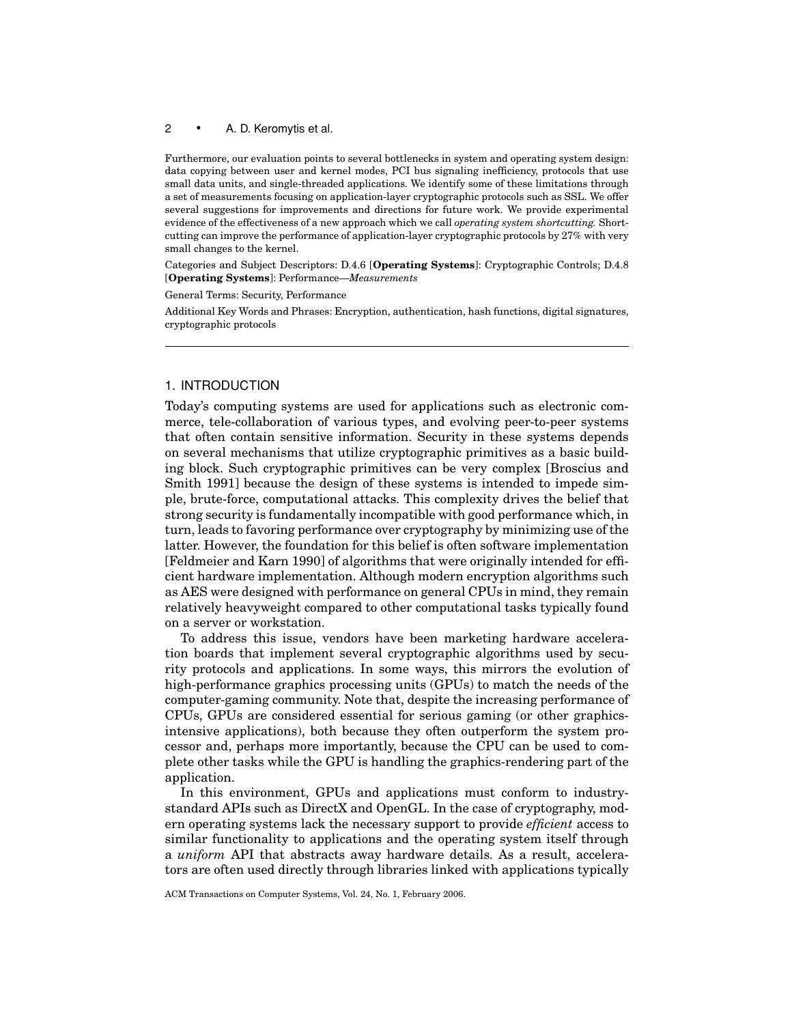Furthermore, our evaluation points to several bottlenecks in system and operating system design: data copying between user and kernel modes, PCI bus signaling inefficiency, protocols that use small data units, and single-threaded applications. We identify some of these limitations through a set of measurements focusing on application-layer cryptographic protocols such as SSL. We offer several suggestions for improvements and directions for future work. We provide experimental evidence of the effectiveness of a new approach which we call *operating system shortcutting.* Shortcutting can improve the performance of application-layer cryptographic protocols by 27% with very small changes to the kernel.

Categories and Subject Descriptors: D.4.6 [**Operating Systems**]: Cryptographic Controls; D.4.8 [**Operating Systems**]: Performance—*Measurements*

General Terms: Security, Performance

Additional Key Words and Phrases: Encryption, authentication, hash functions, digital signatures, cryptographic protocols

## 1. INTRODUCTION

Today's computing systems are used for applications such as electronic commerce, tele-collaboration of various types, and evolving peer-to-peer systems that often contain sensitive information. Security in these systems depends on several mechanisms that utilize cryptographic primitives as a basic building block. Such cryptographic primitives can be very complex [Broscius and Smith 1991] because the design of these systems is intended to impede simple, brute-force, computational attacks. This complexity drives the belief that strong security is fundamentally incompatible with good performance which, in turn, leads to favoring performance over cryptography by minimizing use of the latter. However, the foundation for this belief is often software implementation [Feldmeier and Karn 1990] of algorithms that were originally intended for efficient hardware implementation. Although modern encryption algorithms such as AES were designed with performance on general CPUs in mind, they remain relatively heavyweight compared to other computational tasks typically found on a server or workstation.

To address this issue, vendors have been marketing hardware acceleration boards that implement several cryptographic algorithms used by security protocols and applications. In some ways, this mirrors the evolution of high-performance graphics processing units (GPUs) to match the needs of the computer-gaming community. Note that, despite the increasing performance of CPUs, GPUs are considered essential for serious gaming (or other graphicsintensive applications), both because they often outperform the system processor and, perhaps more importantly, because the CPU can be used to complete other tasks while the GPU is handling the graphics-rendering part of the application.

In this environment, GPUs and applications must conform to industrystandard APIs such as DirectX and OpenGL. In the case of cryptography, modern operating systems lack the necessary support to provide *efficient* access to similar functionality to applications and the operating system itself through a *uniform* API that abstracts away hardware details. As a result, accelerators are often used directly through libraries linked with applications typically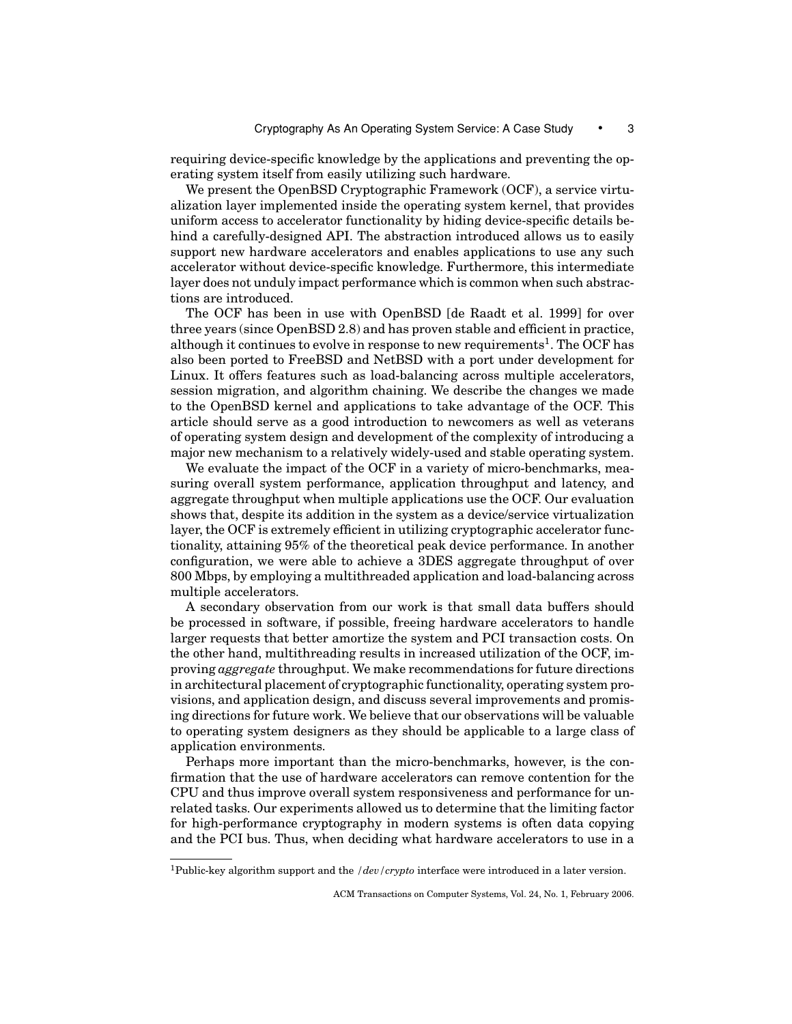requiring device-specific knowledge by the applications and preventing the operating system itself from easily utilizing such hardware.

We present the OpenBSD Cryptographic Framework (OCF), a service virtualization layer implemented inside the operating system kernel, that provides uniform access to accelerator functionality by hiding device-specific details behind a carefully-designed API. The abstraction introduced allows us to easily support new hardware accelerators and enables applications to use any such accelerator without device-specific knowledge. Furthermore, this intermediate layer does not unduly impact performance which is common when such abstractions are introduced.

The OCF has been in use with OpenBSD [de Raadt et al. 1999] for over three years (since OpenBSD 2.8) and has proven stable and efficient in practice, although it continues to evolve in response to new requirements<sup>1</sup>. The OCF has also been ported to FreeBSD and NetBSD with a port under development for Linux. It offers features such as load-balancing across multiple accelerators, session migration, and algorithm chaining. We describe the changes we made to the OpenBSD kernel and applications to take advantage of the OCF. This article should serve as a good introduction to newcomers as well as veterans of operating system design and development of the complexity of introducing a major new mechanism to a relatively widely-used and stable operating system.

We evaluate the impact of the OCF in a variety of micro-benchmarks, measuring overall system performance, application throughput and latency, and aggregate throughput when multiple applications use the OCF. Our evaluation shows that, despite its addition in the system as a device/service virtualization layer, the OCF is extremely efficient in utilizing cryptographic accelerator functionality, attaining 95% of the theoretical peak device performance. In another configuration, we were able to achieve a 3DES aggregate throughput of over 800 Mbps, by employing a multithreaded application and load-balancing across multiple accelerators.

A secondary observation from our work is that small data buffers should be processed in software, if possible, freeing hardware accelerators to handle larger requests that better amortize the system and PCI transaction costs. On the other hand, multithreading results in increased utilization of the OCF, improving *aggregate* throughput. We make recommendations for future directions in architectural placement of cryptographic functionality, operating system provisions, and application design, and discuss several improvements and promising directions for future work. We believe that our observations will be valuable to operating system designers as they should be applicable to a large class of application environments.

Perhaps more important than the micro-benchmarks, however, is the confirmation that the use of hardware accelerators can remove contention for the CPU and thus improve overall system responsiveness and performance for unrelated tasks. Our experiments allowed us to determine that the limiting factor for high-performance cryptography in modern systems is often data copying and the PCI bus. Thus, when deciding what hardware accelerators to use in a

<sup>1</sup>Public-key algorithm support and the */dev/crypto* interface were introduced in a later version.

ACM Transactions on Computer Systems, Vol. 24, No. 1, February 2006.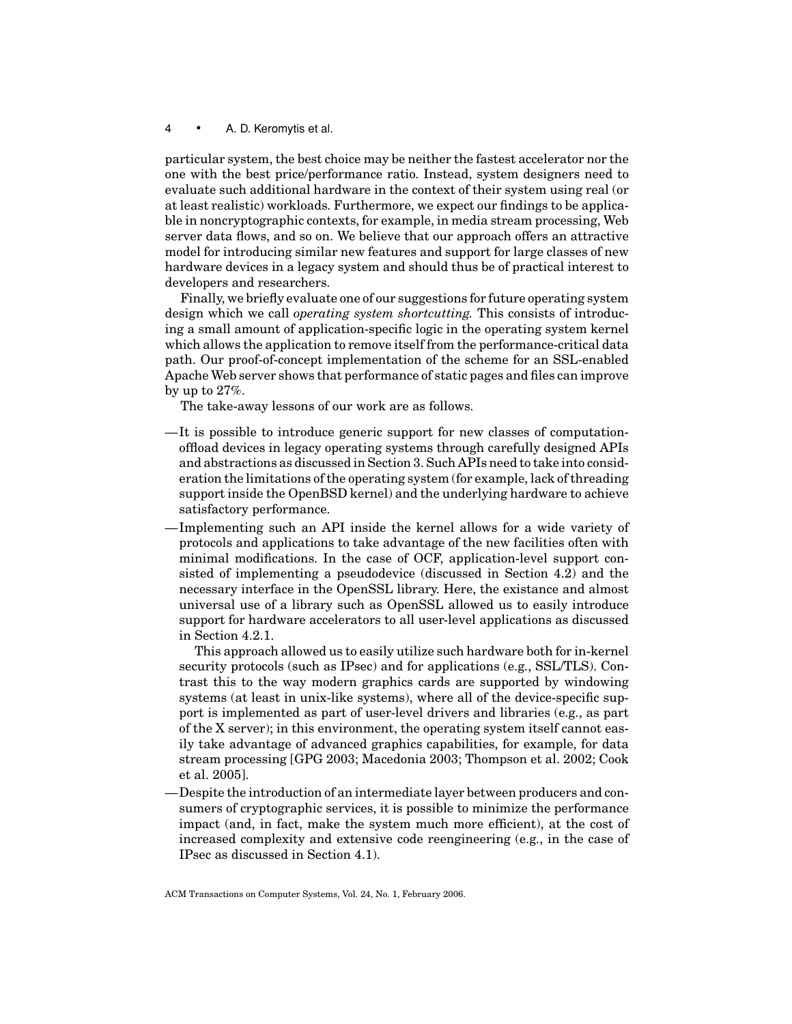particular system, the best choice may be neither the fastest accelerator nor the one with the best price/performance ratio. Instead, system designers need to evaluate such additional hardware in the context of their system using real (or at least realistic) workloads. Furthermore, we expect our findings to be applicable in noncryptographic contexts, for example, in media stream processing, Web server data flows, and so on. We believe that our approach offers an attractive model for introducing similar new features and support for large classes of new hardware devices in a legacy system and should thus be of practical interest to developers and researchers.

Finally, we briefly evaluate one of our suggestions for future operating system design which we call *operating system shortcutting.* This consists of introducing a small amount of application-specific logic in the operating system kernel which allows the application to remove itself from the performance-critical data path. Our proof-of-concept implementation of the scheme for an SSL-enabled Apache Web server shows that performance of static pages and files can improve by up to 27%.

The take-away lessons of our work are as follows.

- —It is possible to introduce generic support for new classes of computationoffload devices in legacy operating systems through carefully designed APIs and abstractions as discussed in Section 3. Such APIs need to take into consideration the limitations of the operating system (for example, lack of threading support inside the OpenBSD kernel) and the underlying hardware to achieve satisfactory performance.
- —Implementing such an API inside the kernel allows for a wide variety of protocols and applications to take advantage of the new facilities often with minimal modifications. In the case of OCF, application-level support consisted of implementing a pseudodevice (discussed in Section 4.2) and the necessary interface in the OpenSSL library. Here, the existance and almost universal use of a library such as OpenSSL allowed us to easily introduce support for hardware accelerators to all user-level applications as discussed in Section 4.2.1.

This approach allowed us to easily utilize such hardware both for in-kernel security protocols (such as IPsec) and for applications (e.g., SSL/TLS). Contrast this to the way modern graphics cards are supported by windowing systems (at least in unix-like systems), where all of the device-specific support is implemented as part of user-level drivers and libraries (e.g., as part of the X server); in this environment, the operating system itself cannot easily take advantage of advanced graphics capabilities, for example, for data stream processing [GPG 2003; Macedonia 2003; Thompson et al. 2002; Cook et al. 2005].

—Despite the introduction of an intermediate layer between producers and consumers of cryptographic services, it is possible to minimize the performance impact (and, in fact, make the system much more efficient), at the cost of increased complexity and extensive code reengineering (e.g., in the case of IPsec as discussed in Section 4.1).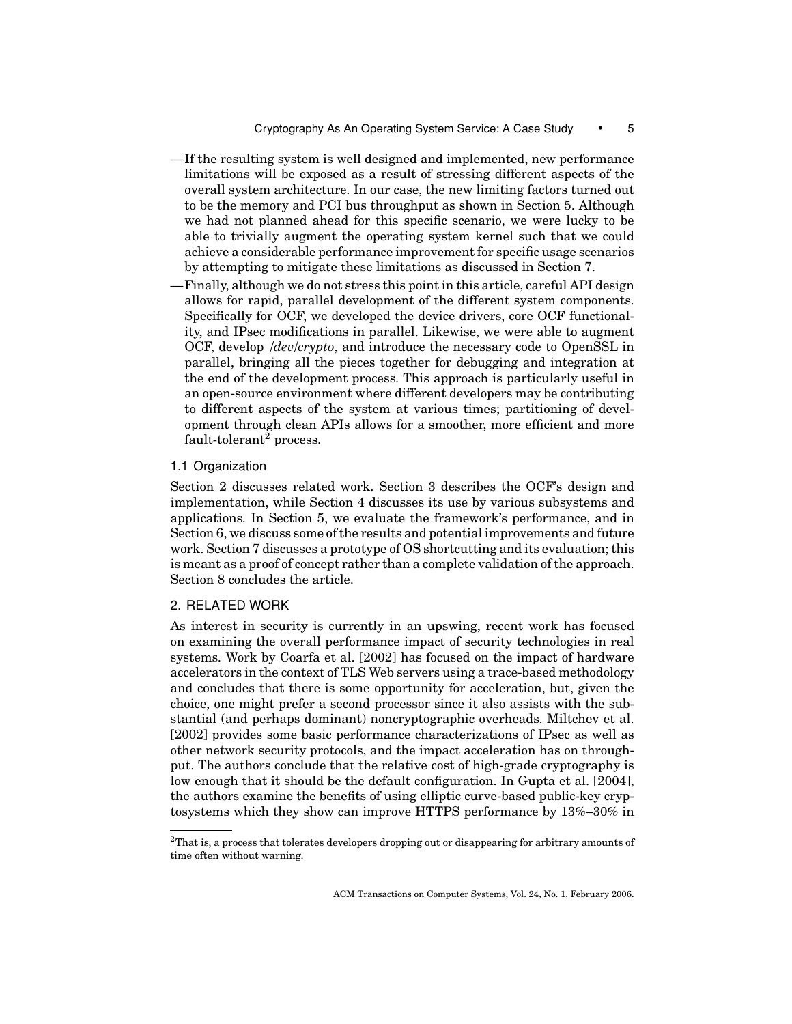- —If the resulting system is well designed and implemented, new performance limitations will be exposed as a result of stressing different aspects of the overall system architecture. In our case, the new limiting factors turned out to be the memory and PCI bus throughput as shown in Section 5. Although we had not planned ahead for this specific scenario, we were lucky to be able to trivially augment the operating system kernel such that we could achieve a considerable performance improvement for specific usage scenarios by attempting to mitigate these limitations as discussed in Section 7.
- —Finally, although we do not stress this point in this article, careful API design allows for rapid, parallel development of the different system components. Specifically for OCF, we developed the device drivers, core OCF functionality, and IPsec modifications in parallel. Likewise, we were able to augment OCF, develop */dev/crypto*, and introduce the necessary code to OpenSSL in parallel, bringing all the pieces together for debugging and integration at the end of the development process. This approach is particularly useful in an open-source environment where different developers may be contributing to different aspects of the system at various times; partitioning of development through clean APIs allows for a smoother, more efficient and more fault-tolerant<sup>2</sup> process.

## 1.1 Organization

Section 2 discusses related work. Section 3 describes the OCF's design and implementation, while Section 4 discusses its use by various subsystems and applications. In Section 5, we evaluate the framework's performance, and in Section 6, we discuss some of the results and potential improvements and future work. Section 7 discusses a prototype of OS shortcutting and its evaluation; this is meant as a proof of concept rather than a complete validation of the approach. Section 8 concludes the article.

## 2. RELATED WORK

As interest in security is currently in an upswing, recent work has focused on examining the overall performance impact of security technologies in real systems. Work by Coarfa et al. [2002] has focused on the impact of hardware accelerators in the context of TLS Web servers using a trace-based methodology and concludes that there is some opportunity for acceleration, but, given the choice, one might prefer a second processor since it also assists with the substantial (and perhaps dominant) noncryptographic overheads. Miltchev et al. [2002] provides some basic performance characterizations of IPsec as well as other network security protocols, and the impact acceleration has on throughput. The authors conclude that the relative cost of high-grade cryptography is low enough that it should be the default configuration. In Gupta et al. [2004], the authors examine the benefits of using elliptic curve-based public-key cryptosystems which they show can improve HTTPS performance by 13%–30% in

<sup>&</sup>lt;sup>2</sup>That is, a process that tolerates developers dropping out or disappearing for arbitrary amounts of time often without warning.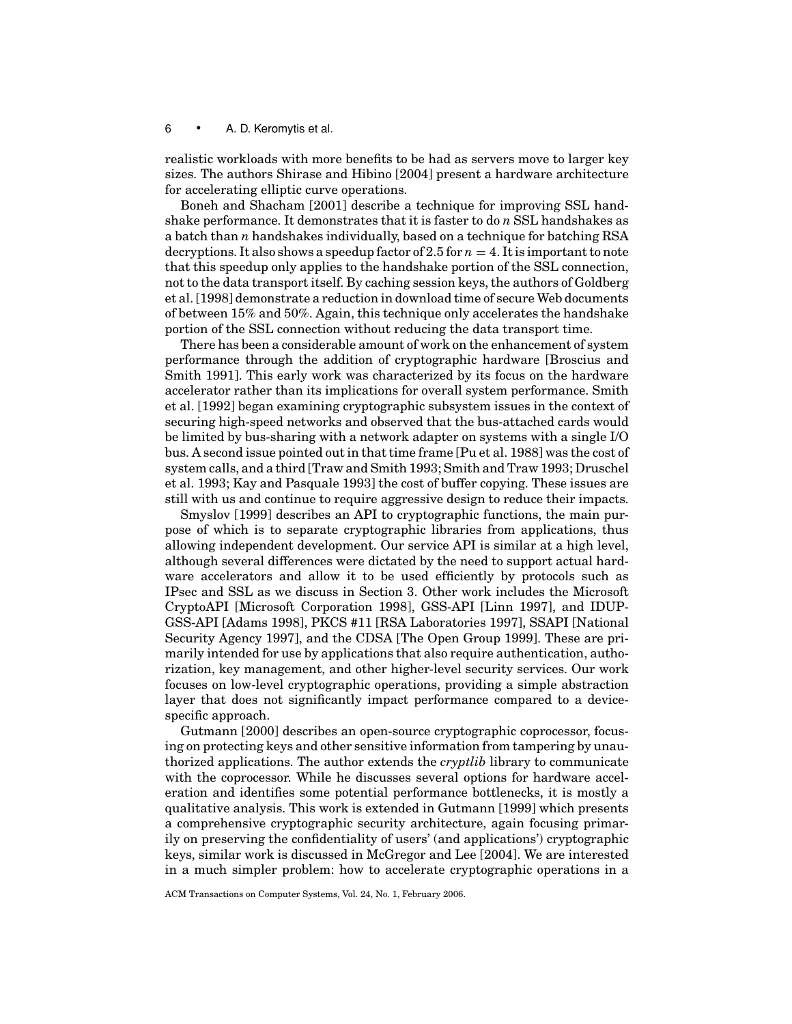realistic workloads with more benefits to be had as servers move to larger key sizes. The authors Shirase and Hibino [2004] present a hardware architecture for accelerating elliptic curve operations.

Boneh and Shacham [2001] describe a technique for improving SSL handshake performance. It demonstrates that it is faster to do *n* SSL handshakes as a batch than *n* handshakes individually, based on a technique for batching RSA decryptions. It also shows a speedup factor of 2.5 for  $n = 4$ . It is important to note that this speedup only applies to the handshake portion of the SSL connection, not to the data transport itself. By caching session keys, the authors of Goldberg et al. [1998] demonstrate a reduction in download time of secure Web documents of between 15% and 50%. Again, this technique only accelerates the handshake portion of the SSL connection without reducing the data transport time.

There has been a considerable amount of work on the enhancement of system performance through the addition of cryptographic hardware [Broscius and Smith 1991]. This early work was characterized by its focus on the hardware accelerator rather than its implications for overall system performance. Smith et al. [1992] began examining cryptographic subsystem issues in the context of securing high-speed networks and observed that the bus-attached cards would be limited by bus-sharing with a network adapter on systems with a single I/O bus. A second issue pointed out in that time frame [Pu et al. 1988] was the cost of system calls, and a third [Traw and Smith 1993; Smith and Traw 1993; Druschel et al. 1993; Kay and Pasquale 1993] the cost of buffer copying. These issues are still with us and continue to require aggressive design to reduce their impacts.

Smyslov [1999] describes an API to cryptographic functions, the main purpose of which is to separate cryptographic libraries from applications, thus allowing independent development. Our service API is similar at a high level, although several differences were dictated by the need to support actual hardware accelerators and allow it to be used efficiently by protocols such as IPsec and SSL as we discuss in Section 3. Other work includes the Microsoft CryptoAPI [Microsoft Corporation 1998], GSS-API [Linn 1997], and IDUP-GSS-API [Adams 1998], PKCS #11 [RSA Laboratories 1997], SSAPI [National Security Agency 1997], and the CDSA [The Open Group 1999]. These are primarily intended for use by applications that also require authentication, authorization, key management, and other higher-level security services. Our work focuses on low-level cryptographic operations, providing a simple abstraction layer that does not significantly impact performance compared to a devicespecific approach.

Gutmann [2000] describes an open-source cryptographic coprocessor, focusing on protecting keys and other sensitive information from tampering by unauthorized applications. The author extends the *cryptlib* library to communicate with the coprocessor. While he discusses several options for hardware acceleration and identifies some potential performance bottlenecks, it is mostly a qualitative analysis. This work is extended in Gutmann [1999] which presents a comprehensive cryptographic security architecture, again focusing primarily on preserving the confidentiality of users' (and applications') cryptographic keys, similar work is discussed in McGregor and Lee [2004]. We are interested in a much simpler problem: how to accelerate cryptographic operations in a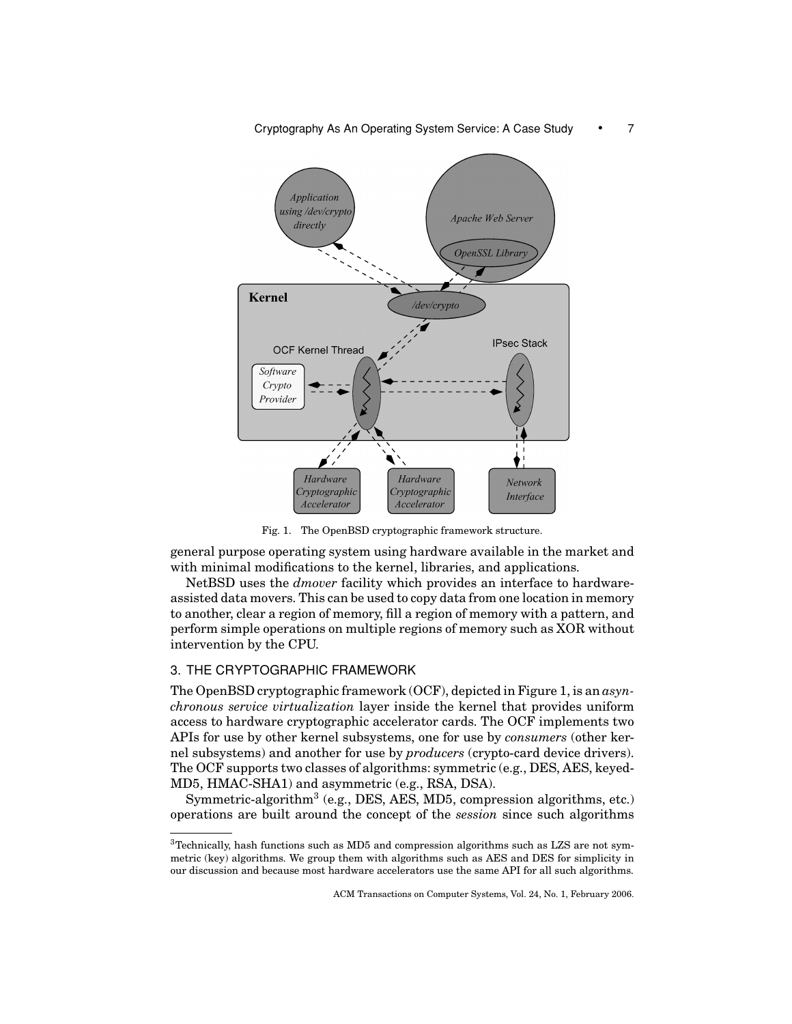

Cryptography As An Operating System Service: A Case Study • 7

Fig. 1. The OpenBSD cryptographic framework structure.

general purpose operating system using hardware available in the market and with minimal modifications to the kernel, libraries, and applications.

NetBSD uses the *dmover* facility which provides an interface to hardwareassisted data movers. This can be used to copy data from one location in memory to another, clear a region of memory, fill a region of memory with a pattern, and perform simple operations on multiple regions of memory such as XOR without intervention by the CPU.

# 3. THE CRYPTOGRAPHIC FRAMEWORK

The OpenBSD cryptographic framework (OCF), depicted in Figure 1, is an *asynchronous service virtualization* layer inside the kernel that provides uniform access to hardware cryptographic accelerator cards. The OCF implements two APIs for use by other kernel subsystems, one for use by *consumers* (other kernel subsystems) and another for use by *producers* (crypto-card device drivers). The OCF supports two classes of algorithms: symmetric (e.g., DES, AES, keyed-MD5, HMAC-SHA1) and asymmetric (e.g., RSA, DSA).

Symmetric-algorithm<sup>3</sup> (e.g., DES, AES, MD5, compression algorithms, etc.) operations are built around the concept of the *session* since such algorithms

<sup>3</sup>Technically, hash functions such as MD5 and compression algorithms such as LZS are not symmetric (key) algorithms. We group them with algorithms such as AES and DES for simplicity in our discussion and because most hardware accelerators use the same API for all such algorithms.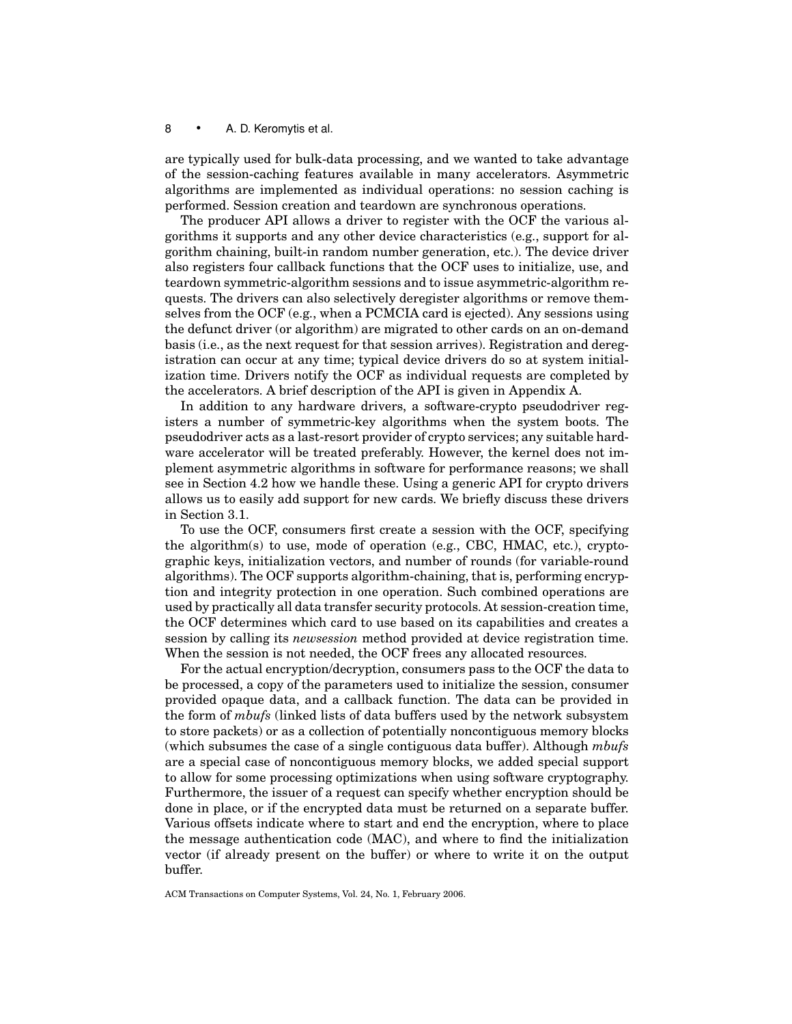are typically used for bulk-data processing, and we wanted to take advantage of the session-caching features available in many accelerators. Asymmetric algorithms are implemented as individual operations: no session caching is performed. Session creation and teardown are synchronous operations.

The producer API allows a driver to register with the OCF the various algorithms it supports and any other device characteristics (e.g., support for algorithm chaining, built-in random number generation, etc.). The device driver also registers four callback functions that the OCF uses to initialize, use, and teardown symmetric-algorithm sessions and to issue asymmetric-algorithm requests. The drivers can also selectively deregister algorithms or remove themselves from the OCF (e.g., when a PCMCIA card is ejected). Any sessions using the defunct driver (or algorithm) are migrated to other cards on an on-demand basis (i.e., as the next request for that session arrives). Registration and deregistration can occur at any time; typical device drivers do so at system initialization time. Drivers notify the OCF as individual requests are completed by the accelerators. A brief description of the API is given in Appendix A.

In addition to any hardware drivers, a software-crypto pseudodriver registers a number of symmetric-key algorithms when the system boots. The pseudodriver acts as a last-resort provider of crypto services; any suitable hardware accelerator will be treated preferably. However, the kernel does not implement asymmetric algorithms in software for performance reasons; we shall see in Section 4.2 how we handle these. Using a generic API for crypto drivers allows us to easily add support for new cards. We briefly discuss these drivers in Section 3.1.

To use the OCF, consumers first create a session with the OCF, specifying the algorithm(s) to use, mode of operation (e.g., CBC, HMAC, etc.), cryptographic keys, initialization vectors, and number of rounds (for variable-round algorithms). The OCF supports algorithm-chaining, that is, performing encryption and integrity protection in one operation. Such combined operations are used by practically all data transfer security protocols. At session-creation time, the OCF determines which card to use based on its capabilities and creates a session by calling its *newsession* method provided at device registration time. When the session is not needed, the OCF frees any allocated resources.

For the actual encryption/decryption, consumers pass to the OCF the data to be processed, a copy of the parameters used to initialize the session, consumer provided opaque data, and a callback function. The data can be provided in the form of *mbufs* (linked lists of data buffers used by the network subsystem to store packets) or as a collection of potentially noncontiguous memory blocks (which subsumes the case of a single contiguous data buffer). Although *mbufs* are a special case of noncontiguous memory blocks, we added special support to allow for some processing optimizations when using software cryptography. Furthermore, the issuer of a request can specify whether encryption should be done in place, or if the encrypted data must be returned on a separate buffer. Various offsets indicate where to start and end the encryption, where to place the message authentication code (MAC), and where to find the initialization vector (if already present on the buffer) or where to write it on the output buffer.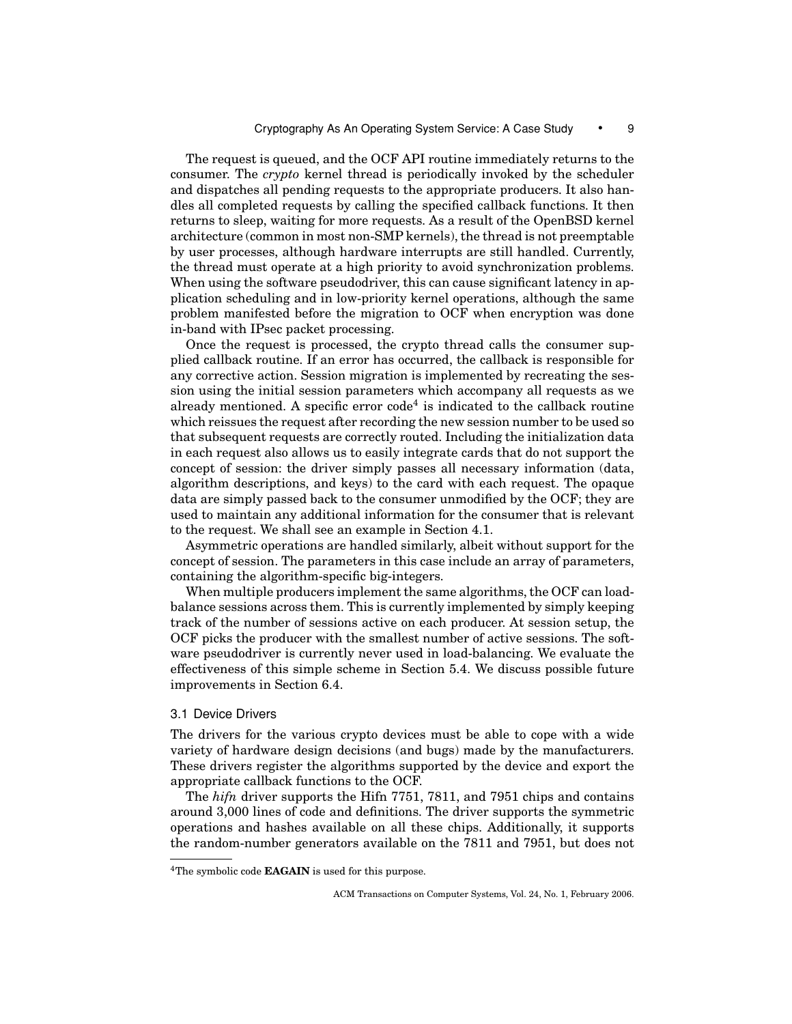The request is queued, and the OCF API routine immediately returns to the consumer. The *crypto* kernel thread is periodically invoked by the scheduler and dispatches all pending requests to the appropriate producers. It also handles all completed requests by calling the specified callback functions. It then returns to sleep, waiting for more requests. As a result of the OpenBSD kernel architecture (common in most non-SMP kernels), the thread is not preemptable by user processes, although hardware interrupts are still handled. Currently, the thread must operate at a high priority to avoid synchronization problems. When using the software pseudodriver, this can cause significant latency in application scheduling and in low-priority kernel operations, although the same problem manifested before the migration to OCF when encryption was done in-band with IPsec packet processing.

Once the request is processed, the crypto thread calls the consumer supplied callback routine. If an error has occurred, the callback is responsible for any corrective action. Session migration is implemented by recreating the session using the initial session parameters which accompany all requests as we already mentioned. A specific error  $\text{code}^4$  is indicated to the callback routine which reissues the request after recording the new session number to be used so that subsequent requests are correctly routed. Including the initialization data in each request also allows us to easily integrate cards that do not support the concept of session: the driver simply passes all necessary information (data, algorithm descriptions, and keys) to the card with each request. The opaque data are simply passed back to the consumer unmodified by the OCF; they are used to maintain any additional information for the consumer that is relevant to the request. We shall see an example in Section 4.1.

Asymmetric operations are handled similarly, albeit without support for the concept of session. The parameters in this case include an array of parameters, containing the algorithm-specific big-integers.

When multiple producers implement the same algorithms, the OCF can loadbalance sessions across them. This is currently implemented by simply keeping track of the number of sessions active on each producer. At session setup, the OCF picks the producer with the smallest number of active sessions. The software pseudodriver is currently never used in load-balancing. We evaluate the effectiveness of this simple scheme in Section 5.4. We discuss possible future improvements in Section 6.4.

## 3.1 Device Drivers

The drivers for the various crypto devices must be able to cope with a wide variety of hardware design decisions (and bugs) made by the manufacturers. These drivers register the algorithms supported by the device and export the appropriate callback functions to the OCF.

The *hifn* driver supports the Hifn 7751, 7811, and 7951 chips and contains around 3,000 lines of code and definitions. The driver supports the symmetric operations and hashes available on all these chips. Additionally, it supports the random-number generators available on the 7811 and 7951, but does not

<sup>4</sup>The symbolic code **EAGAIN** is used for this purpose.

ACM Transactions on Computer Systems, Vol. 24, No. 1, February 2006.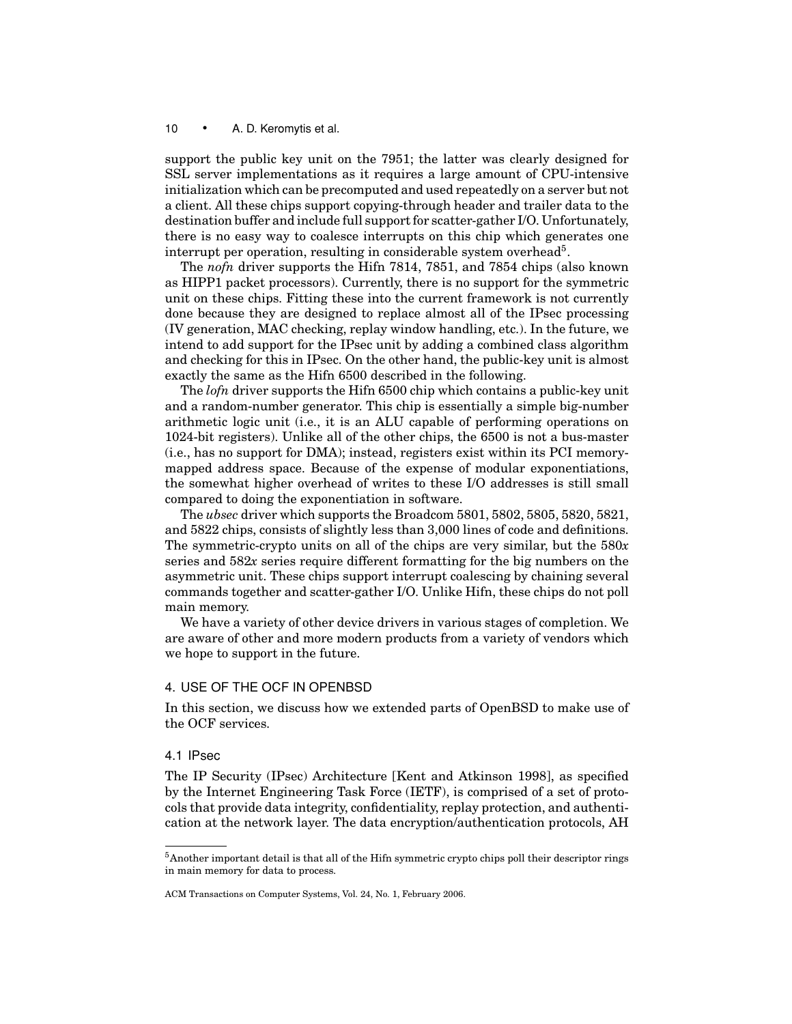support the public key unit on the 7951; the latter was clearly designed for SSL server implementations as it requires a large amount of CPU-intensive initialization which can be precomputed and used repeatedly on a server but not a client. All these chips support copying-through header and trailer data to the destination buffer and include full support for scatter-gather I/O. Unfortunately, there is no easy way to coalesce interrupts on this chip which generates one interrupt per operation, resulting in considerable system overhead<sup>5</sup>.

The *nofn* driver supports the Hifn 7814, 7851, and 7854 chips (also known as HIPP1 packet processors). Currently, there is no support for the symmetric unit on these chips. Fitting these into the current framework is not currently done because they are designed to replace almost all of the IPsec processing (IV generation, MAC checking, replay window handling, etc.). In the future, we intend to add support for the IPsec unit by adding a combined class algorithm and checking for this in IPsec. On the other hand, the public-key unit is almost exactly the same as the Hifn 6500 described in the following.

The *lofn* driver supports the Hifn 6500 chip which contains a public-key unit and a random-number generator. This chip is essentially a simple big-number arithmetic logic unit (i.e., it is an ALU capable of performing operations on 1024-bit registers). Unlike all of the other chips, the 6500 is not a bus-master (i.e., has no support for DMA); instead, registers exist within its PCI memorymapped address space. Because of the expense of modular exponentiations, the somewhat higher overhead of writes to these I/O addresses is still small compared to doing the exponentiation in software.

The *ubsec* driver which supports the Broadcom 5801, 5802, 5805, 5820, 5821, and 5822 chips, consists of slightly less than 3,000 lines of code and definitions. The symmetric-crypto units on all of the chips are very similar, but the 580*x* series and 582*x* series require different formatting for the big numbers on the asymmetric unit. These chips support interrupt coalescing by chaining several commands together and scatter-gather I/O. Unlike Hifn, these chips do not poll main memory.

We have a variety of other device drivers in various stages of completion. We are aware of other and more modern products from a variety of vendors which we hope to support in the future.

## 4. USE OF THE OCF IN OPENBSD

In this section, we discuss how we extended parts of OpenBSD to make use of the OCF services.

# 4.1 IPsec

The IP Security (IPsec) Architecture [Kent and Atkinson 1998], as specified by the Internet Engineering Task Force (IETF), is comprised of a set of protocols that provide data integrity, confidentiality, replay protection, and authentication at the network layer. The data encryption/authentication protocols, AH

<sup>&</sup>lt;sup>5</sup>Another important detail is that all of the Hifn symmetric crypto chips poll their descriptor rings in main memory for data to process.

ACM Transactions on Computer Systems, Vol. 24, No. 1, February 2006.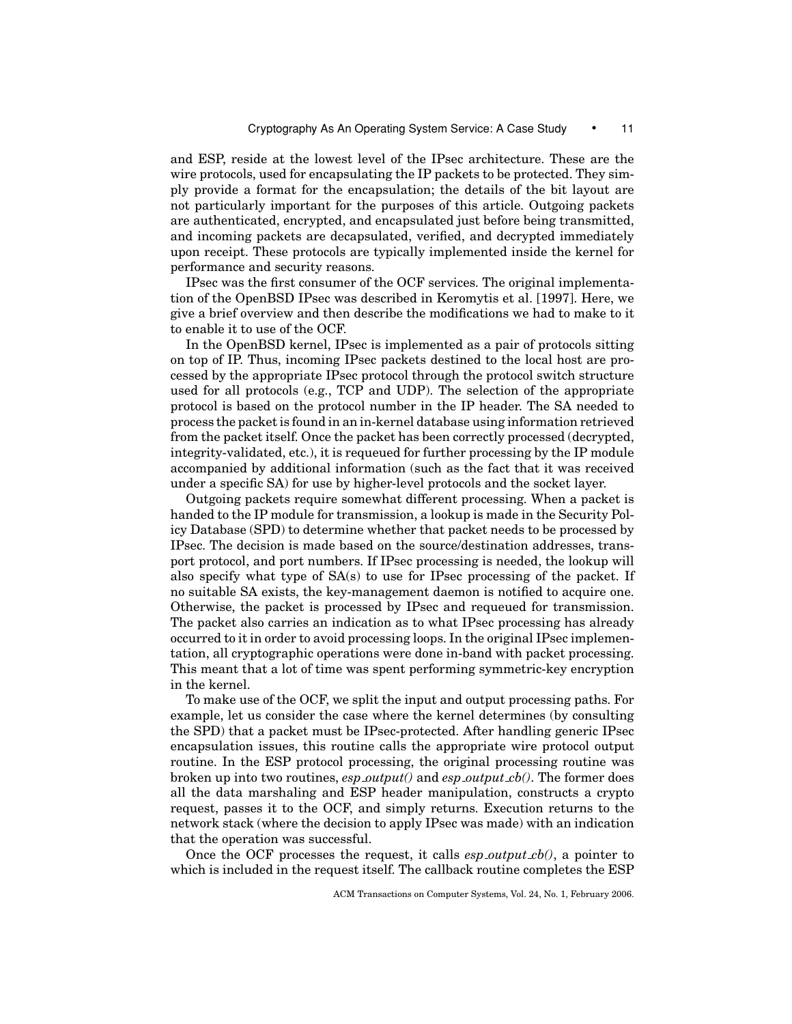and ESP, reside at the lowest level of the IPsec architecture. These are the wire protocols, used for encapsulating the IP packets to be protected. They simply provide a format for the encapsulation; the details of the bit layout are not particularly important for the purposes of this article. Outgoing packets are authenticated, encrypted, and encapsulated just before being transmitted, and incoming packets are decapsulated, verified, and decrypted immediately upon receipt. These protocols are typically implemented inside the kernel for performance and security reasons.

IPsec was the first consumer of the OCF services. The original implementation of the OpenBSD IPsec was described in Keromytis et al. [1997]. Here, we give a brief overview and then describe the modifications we had to make to it to enable it to use of the OCF.

In the OpenBSD kernel, IPsec is implemented as a pair of protocols sitting on top of IP. Thus, incoming IPsec packets destined to the local host are processed by the appropriate IPsec protocol through the protocol switch structure used for all protocols (e.g., TCP and UDP). The selection of the appropriate protocol is based on the protocol number in the IP header. The SA needed to process the packet is found in an in-kernel database using information retrieved from the packet itself. Once the packet has been correctly processed (decrypted, integrity-validated, etc.), it is requeued for further processing by the IP module accompanied by additional information (such as the fact that it was received under a specific SA) for use by higher-level protocols and the socket layer.

Outgoing packets require somewhat different processing. When a packet is handed to the IP module for transmission, a lookup is made in the Security Policy Database (SPD) to determine whether that packet needs to be processed by IPsec. The decision is made based on the source/destination addresses, transport protocol, and port numbers. If IPsec processing is needed, the lookup will also specify what type of SA(s) to use for IPsec processing of the packet. If no suitable SA exists, the key-management daemon is notified to acquire one. Otherwise, the packet is processed by IPsec and requeued for transmission. The packet also carries an indication as to what IPsec processing has already occurred to it in order to avoid processing loops. In the original IPsec implementation, all cryptographic operations were done in-band with packet processing. This meant that a lot of time was spent performing symmetric-key encryption in the kernel.

To make use of the OCF, we split the input and output processing paths. For example, let us consider the case where the kernel determines (by consulting the SPD) that a packet must be IPsec-protected. After handling generic IPsec encapsulation issues, this routine calls the appropriate wire protocol output routine. In the ESP protocol processing, the original processing routine was broken up into two routines, *esp output()* and *esp output cb()*. The former does all the data marshaling and ESP header manipulation, constructs a crypto request, passes it to the OCF, and simply returns. Execution returns to the network stack (where the decision to apply IPsec was made) with an indication that the operation was successful.

Once the OCF processes the request, it calls *esp output cb()*, a pointer to which is included in the request itself. The callback routine completes the ESP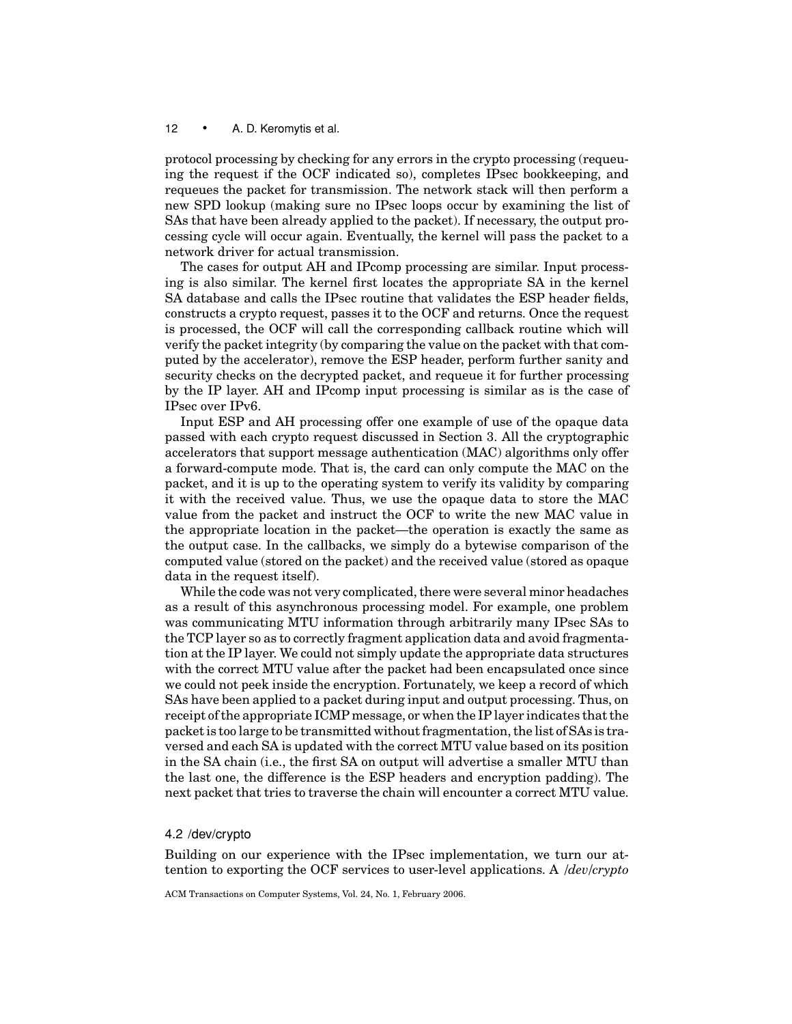protocol processing by checking for any errors in the crypto processing (requeuing the request if the OCF indicated so), completes IPsec bookkeeping, and requeues the packet for transmission. The network stack will then perform a new SPD lookup (making sure no IPsec loops occur by examining the list of SAs that have been already applied to the packet). If necessary, the output processing cycle will occur again. Eventually, the kernel will pass the packet to a network driver for actual transmission.

The cases for output AH and IPcomp processing are similar. Input processing is also similar. The kernel first locates the appropriate SA in the kernel SA database and calls the IPsec routine that validates the ESP header fields, constructs a crypto request, passes it to the OCF and returns. Once the request is processed, the OCF will call the corresponding callback routine which will verify the packet integrity (by comparing the value on the packet with that computed by the accelerator), remove the ESP header, perform further sanity and security checks on the decrypted packet, and requeue it for further processing by the IP layer. AH and IPcomp input processing is similar as is the case of IPsec over IPv6.

Input ESP and AH processing offer one example of use of the opaque data passed with each crypto request discussed in Section 3. All the cryptographic accelerators that support message authentication (MAC) algorithms only offer a forward-compute mode. That is, the card can only compute the MAC on the packet, and it is up to the operating system to verify its validity by comparing it with the received value. Thus, we use the opaque data to store the MAC value from the packet and instruct the OCF to write the new MAC value in the appropriate location in the packet—the operation is exactly the same as the output case. In the callbacks, we simply do a bytewise comparison of the computed value (stored on the packet) and the received value (stored as opaque data in the request itself).

While the code was not very complicated, there were several minor headaches as a result of this asynchronous processing model. For example, one problem was communicating MTU information through arbitrarily many IPsec SAs to the TCP layer so as to correctly fragment application data and avoid fragmentation at the IP layer. We could not simply update the appropriate data structures with the correct MTU value after the packet had been encapsulated once since we could not peek inside the encryption. Fortunately, we keep a record of which SAs have been applied to a packet during input and output processing. Thus, on receipt of the appropriate ICMP message, or when the IP layer indicates that the packet is too large to be transmitted without fragmentation, the list of SAs is traversed and each SA is updated with the correct MTU value based on its position in the SA chain (i.e., the first SA on output will advertise a smaller MTU than the last one, the difference is the ESP headers and encryption padding). The next packet that tries to traverse the chain will encounter a correct MTU value.

## 4.2 /dev/crypto

Building on our experience with the IPsec implementation, we turn our attention to exporting the OCF services to user-level applications. A */dev/crypto*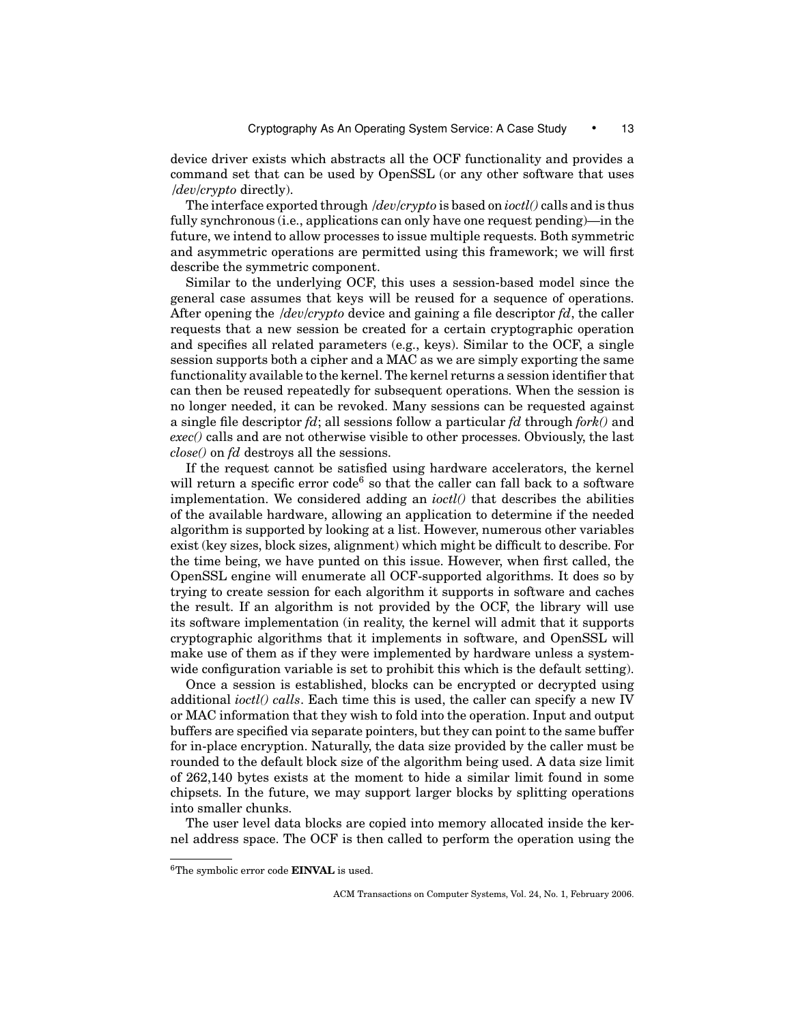device driver exists which abstracts all the OCF functionality and provides a command set that can be used by OpenSSL (or any other software that uses */dev/crypto* directly).

The interface exported through */dev/crypto* is based on *ioctl()* calls and is thus fully synchronous (i.e., applications can only have one request pending)—in the future, we intend to allow processes to issue multiple requests. Both symmetric and asymmetric operations are permitted using this framework; we will first describe the symmetric component.

Similar to the underlying OCF, this uses a session-based model since the general case assumes that keys will be reused for a sequence of operations. After opening the */dev/crypto* device and gaining a file descriptor *fd*, the caller requests that a new session be created for a certain cryptographic operation and specifies all related parameters (e.g., keys). Similar to the OCF, a single session supports both a cipher and a MAC as we are simply exporting the same functionality available to the kernel. The kernel returns a session identifier that can then be reused repeatedly for subsequent operations. When the session is no longer needed, it can be revoked. Many sessions can be requested against a single file descriptor *fd*; all sessions follow a particular *fd* through *fork()* and *exec()* calls and are not otherwise visible to other processes. Obviously, the last *close()* on *fd* destroys all the sessions.

If the request cannot be satisfied using hardware accelerators, the kernel will return a specific error code<sup>6</sup> so that the caller can fall back to a software implementation. We considered adding an *ioctl()* that describes the abilities of the available hardware, allowing an application to determine if the needed algorithm is supported by looking at a list. However, numerous other variables exist (key sizes, block sizes, alignment) which might be difficult to describe. For the time being, we have punted on this issue. However, when first called, the OpenSSL engine will enumerate all OCF-supported algorithms. It does so by trying to create session for each algorithm it supports in software and caches the result. If an algorithm is not provided by the OCF, the library will use its software implementation (in reality, the kernel will admit that it supports cryptographic algorithms that it implements in software, and OpenSSL will make use of them as if they were implemented by hardware unless a systemwide configuration variable is set to prohibit this which is the default setting).

Once a session is established, blocks can be encrypted or decrypted using additional *ioctl() calls*. Each time this is used, the caller can specify a new IV or MAC information that they wish to fold into the operation. Input and output buffers are specified via separate pointers, but they can point to the same buffer for in-place encryption. Naturally, the data size provided by the caller must be rounded to the default block size of the algorithm being used. A data size limit of 262,140 bytes exists at the moment to hide a similar limit found in some chipsets. In the future, we may support larger blocks by splitting operations into smaller chunks.

The user level data blocks are copied into memory allocated inside the kernel address space. The OCF is then called to perform the operation using the

<sup>6</sup>The symbolic error code **EINVAL** is used.

ACM Transactions on Computer Systems, Vol. 24, No. 1, February 2006.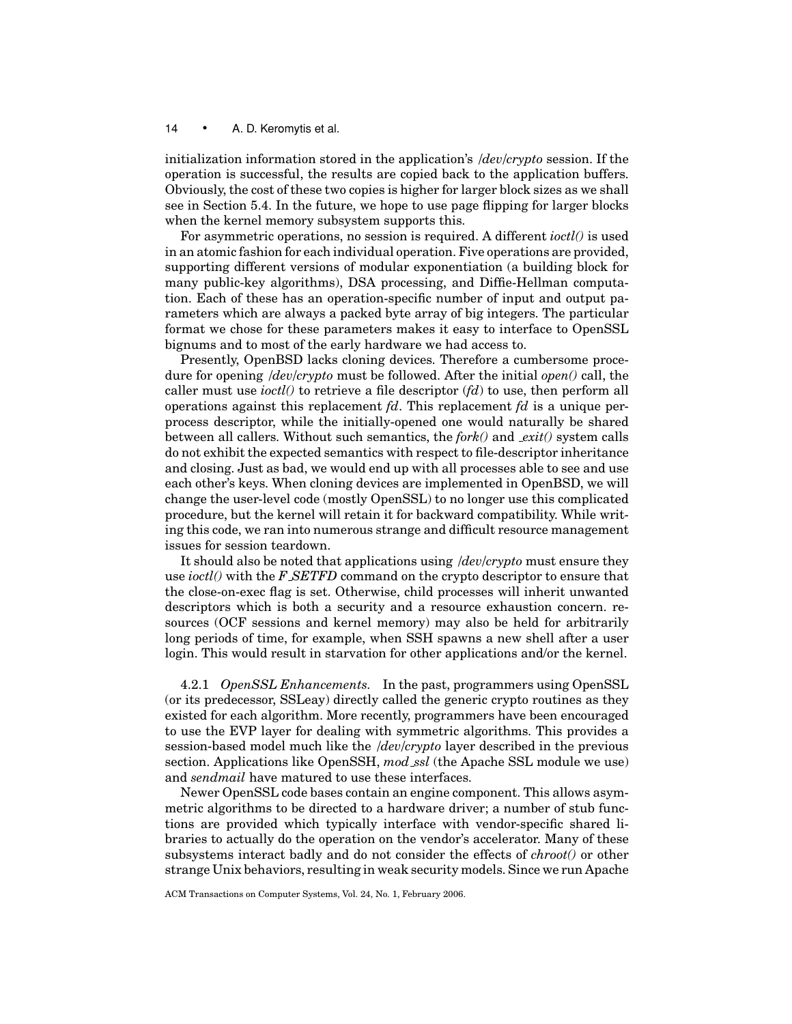initialization information stored in the application's */dev/crypto* session. If the operation is successful, the results are copied back to the application buffers. Obviously, the cost of these two copies is higher for larger block sizes as we shall see in Section 5.4. In the future, we hope to use page flipping for larger blocks when the kernel memory subsystem supports this.

For asymmetric operations, no session is required. A different *ioctl()* is used in an atomic fashion for each individual operation. Five operations are provided, supporting different versions of modular exponentiation (a building block for many public-key algorithms), DSA processing, and Diffie-Hellman computation. Each of these has an operation-specific number of input and output parameters which are always a packed byte array of big integers. The particular format we chose for these parameters makes it easy to interface to OpenSSL bignums and to most of the early hardware we had access to.

Presently, OpenBSD lacks cloning devices. Therefore a cumbersome procedure for opening */dev/crypto* must be followed. After the initial *open()* call, the caller must use *ioctl()* to retrieve a file descriptor (*fd*) to use, then perform all operations against this replacement *fd*. This replacement *fd* is a unique perprocess descriptor, while the initially-opened one would naturally be shared between all callers. Without such semantics, the *fork()* and *exit()* system calls do not exhibit the expected semantics with respect to file-descriptor inheritance and closing. Just as bad, we would end up with all processes able to see and use each other's keys. When cloning devices are implemented in OpenBSD, we will change the user-level code (mostly OpenSSL) to no longer use this complicated procedure, but the kernel will retain it for backward compatibility. While writing this code, we ran into numerous strange and difficult resource management issues for session teardown.

It should also be noted that applications using */dev/crypto* must ensure they use *ioctl()* with the *F SETFD* command on the crypto descriptor to ensure that the close-on-exec flag is set. Otherwise, child processes will inherit unwanted descriptors which is both a security and a resource exhaustion concern. resources (OCF sessions and kernel memory) may also be held for arbitrarily long periods of time, for example, when SSH spawns a new shell after a user login. This would result in starvation for other applications and/or the kernel.

4.2.1 *OpenSSL Enhancements.* In the past, programmers using OpenSSL (or its predecessor, SSLeay) directly called the generic crypto routines as they existed for each algorithm. More recently, programmers have been encouraged to use the EVP layer for dealing with symmetric algorithms. This provides a session-based model much like the */dev/crypto* layer described in the previous section. Applications like OpenSSH, *mod ssl* (the Apache SSL module we use) and *sendmail* have matured to use these interfaces.

Newer OpenSSL code bases contain an engine component. This allows asymmetric algorithms to be directed to a hardware driver; a number of stub functions are provided which typically interface with vendor-specific shared libraries to actually do the operation on the vendor's accelerator. Many of these subsystems interact badly and do not consider the effects of *chroot()* or other strange Unix behaviors, resulting in weak security models. Since we run Apache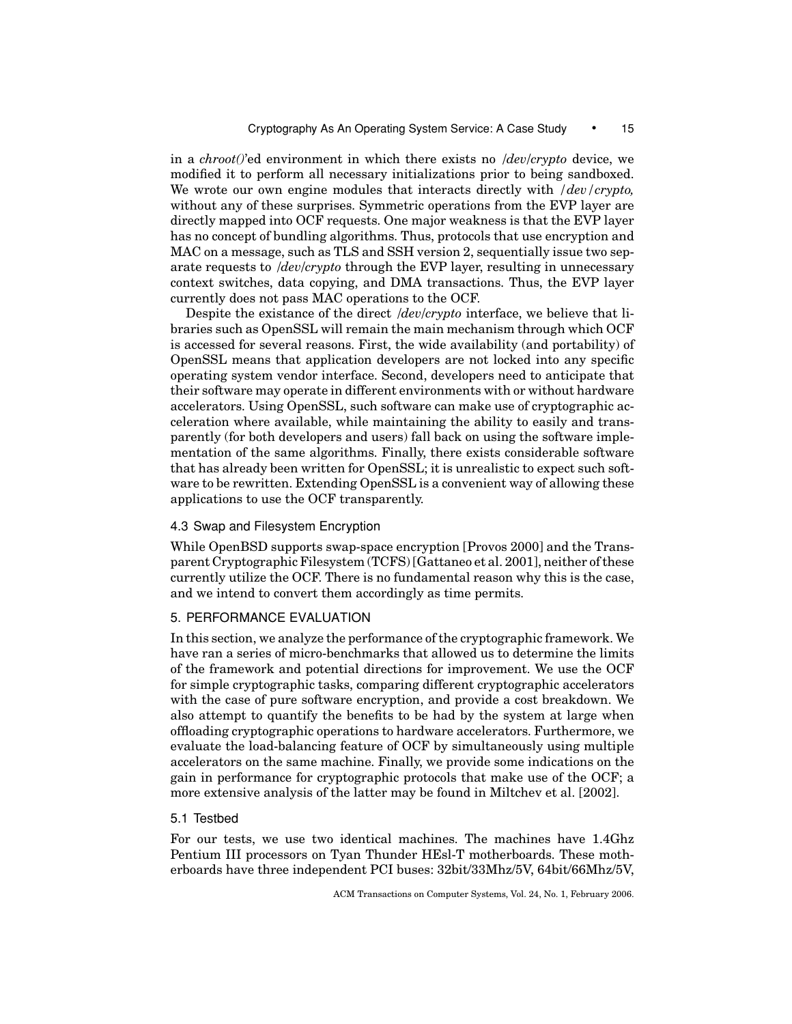in a *chroot()*'ed environment in which there exists no */dev/crypto* device, we modified it to perform all necessary initializations prior to being sandboxed. We wrote our own engine modules that interacts directly with */dev/crypto,* without any of these surprises. Symmetric operations from the EVP layer are directly mapped into OCF requests. One major weakness is that the EVP layer has no concept of bundling algorithms. Thus, protocols that use encryption and MAC on a message, such as TLS and SSH version 2, sequentially issue two separate requests to */dev/crypto* through the EVP layer, resulting in unnecessary context switches, data copying, and DMA transactions. Thus, the EVP layer currently does not pass MAC operations to the OCF.

Despite the existance of the direct */dev/crypto* interface, we believe that libraries such as OpenSSL will remain the main mechanism through which OCF is accessed for several reasons. First, the wide availability (and portability) of OpenSSL means that application developers are not locked into any specific operating system vendor interface. Second, developers need to anticipate that their software may operate in different environments with or without hardware accelerators. Using OpenSSL, such software can make use of cryptographic acceleration where available, while maintaining the ability to easily and transparently (for both developers and users) fall back on using the software implementation of the same algorithms. Finally, there exists considerable software that has already been written for OpenSSL; it is unrealistic to expect such software to be rewritten. Extending OpenSSL is a convenient way of allowing these applications to use the OCF transparently.

## 4.3 Swap and Filesystem Encryption

While OpenBSD supports swap-space encryption [Provos 2000] and the Transparent Cryptographic Filesystem (TCFS) [Gattaneo et al. 2001], neither of these currently utilize the OCF. There is no fundamental reason why this is the case, and we intend to convert them accordingly as time permits.

# 5. PERFORMANCE EVALUATION

In this section, we analyze the performance of the cryptographic framework. We have ran a series of micro-benchmarks that allowed us to determine the limits of the framework and potential directions for improvement. We use the OCF for simple cryptographic tasks, comparing different cryptographic accelerators with the case of pure software encryption, and provide a cost breakdown. We also attempt to quantify the benefits to be had by the system at large when offloading cryptographic operations to hardware accelerators. Furthermore, we evaluate the load-balancing feature of OCF by simultaneously using multiple accelerators on the same machine. Finally, we provide some indications on the gain in performance for cryptographic protocols that make use of the OCF; a more extensive analysis of the latter may be found in Miltchev et al. [2002].

#### 5.1 Testbed

For our tests, we use two identical machines. The machines have 1.4Ghz Pentium III processors on Tyan Thunder HEsl-T motherboards. These motherboards have three independent PCI buses: 32bit/33Mhz/5V, 64bit/66Mhz/5V,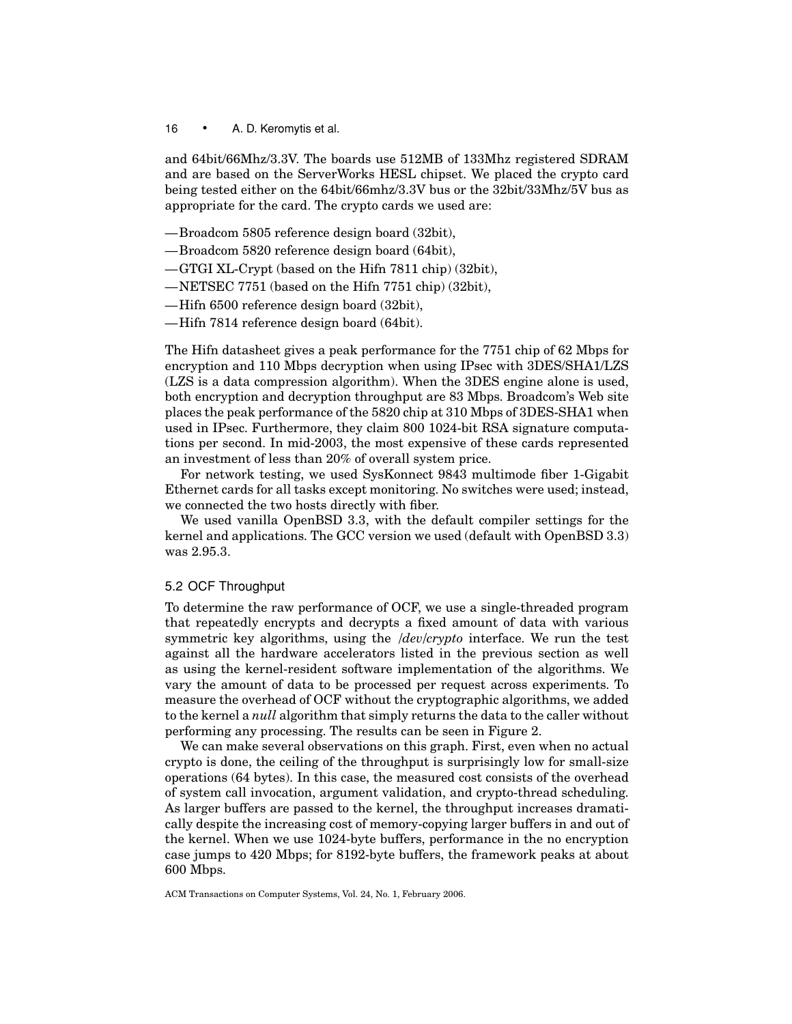and 64bit/66Mhz/3.3V. The boards use 512MB of 133Mhz registered SDRAM and are based on the ServerWorks HESL chipset. We placed the crypto card being tested either on the 64bit/66mhz/3.3V bus or the 32bit/33Mhz/5V bus as appropriate for the card. The crypto cards we used are:

- —Broadcom 5805 reference design board (32bit),
- —Broadcom 5820 reference design board (64bit),
- —GTGI XL-Crypt (based on the Hifn 7811 chip) (32bit),
- —NETSEC 7751 (based on the Hifn 7751 chip) (32bit),
- —Hifn 6500 reference design board (32bit),
- —Hifn 7814 reference design board (64bit).

The Hifn datasheet gives a peak performance for the 7751 chip of 62 Mbps for encryption and 110 Mbps decryption when using IPsec with 3DES/SHA1/LZS (LZS is a data compression algorithm). When the 3DES engine alone is used, both encryption and decryption throughput are 83 Mbps. Broadcom's Web site places the peak performance of the 5820 chip at 310 Mbps of 3DES-SHA1 when used in IPsec. Furthermore, they claim 800 1024-bit RSA signature computations per second. In mid-2003, the most expensive of these cards represented an investment of less than 20% of overall system price.

For network testing, we used SysKonnect 9843 multimode fiber 1-Gigabit Ethernet cards for all tasks except monitoring. No switches were used; instead, we connected the two hosts directly with fiber.

We used vanilla OpenBSD 3.3, with the default compiler settings for the kernel and applications. The GCC version we used (default with OpenBSD 3.3) was 2.95.3.

## 5.2 OCF Throughput

To determine the raw performance of OCF, we use a single-threaded program that repeatedly encrypts and decrypts a fixed amount of data with various symmetric key algorithms, using the */dev/crypto* interface. We run the test against all the hardware accelerators listed in the previous section as well as using the kernel-resident software implementation of the algorithms. We vary the amount of data to be processed per request across experiments. To measure the overhead of OCF without the cryptographic algorithms, we added to the kernel a *null* algorithm that simply returns the data to the caller without performing any processing. The results can be seen in Figure 2.

We can make several observations on this graph. First, even when no actual crypto is done, the ceiling of the throughput is surprisingly low for small-size operations (64 bytes). In this case, the measured cost consists of the overhead of system call invocation, argument validation, and crypto-thread scheduling. As larger buffers are passed to the kernel, the throughput increases dramatically despite the increasing cost of memory-copying larger buffers in and out of the kernel. When we use 1024-byte buffers, performance in the no encryption case jumps to 420 Mbps; for 8192-byte buffers, the framework peaks at about 600 Mbps.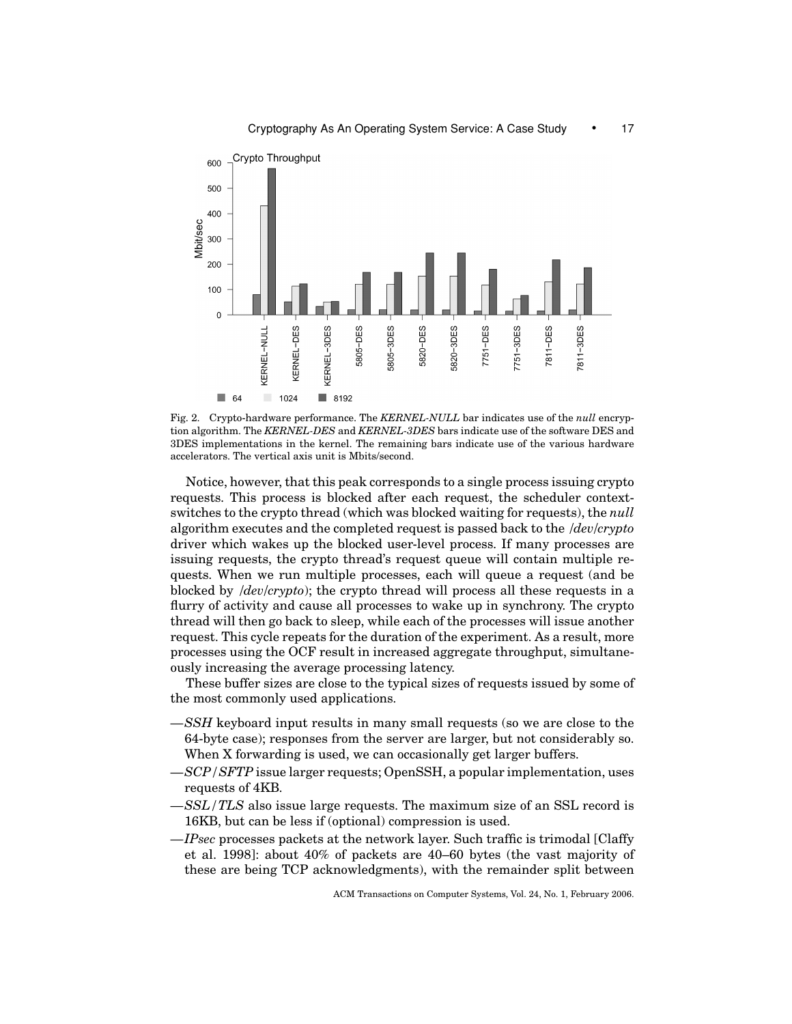

Fig. 2. Crypto-hardware performance. The *KERNEL-NULL* bar indicates use of the *null* encryption algorithm. The *KERNEL-DES* and *KERNEL-3DES* bars indicate use of the software DES and 3DES implementations in the kernel. The remaining bars indicate use of the various hardware accelerators. The vertical axis unit is Mbits/second.

Notice, however, that this peak corresponds to a single process issuing crypto requests. This process is blocked after each request, the scheduler contextswitches to the crypto thread (which was blocked waiting for requests), the *null* algorithm executes and the completed request is passed back to the */dev/crypto* driver which wakes up the blocked user-level process. If many processes are issuing requests, the crypto thread's request queue will contain multiple requests. When we run multiple processes, each will queue a request (and be blocked by */dev/crypto*); the crypto thread will process all these requests in a flurry of activity and cause all processes to wake up in synchrony. The crypto thread will then go back to sleep, while each of the processes will issue another request. This cycle repeats for the duration of the experiment. As a result, more processes using the OCF result in increased aggregate throughput, simultaneously increasing the average processing latency.

These buffer sizes are close to the typical sizes of requests issued by some of the most commonly used applications.

- —*SSH* keyboard input results in many small requests (so we are close to the 64-byte case); responses from the server are larger, but not considerably so. When X forwarding is used, we can occasionally get larger buffers.
- —*SCP/SFTP* issue larger requests; OpenSSH, a popular implementation, uses requests of 4KB.
- —*SSL/TLS* also issue large requests. The maximum size of an SSL record is 16KB, but can be less if (optional) compression is used.
- —*IPsec* processes packets at the network layer. Such traffic is trimodal [Claffy et al. 1998]: about 40% of packets are 40–60 bytes (the vast majority of these are being TCP acknowledgments), with the remainder split between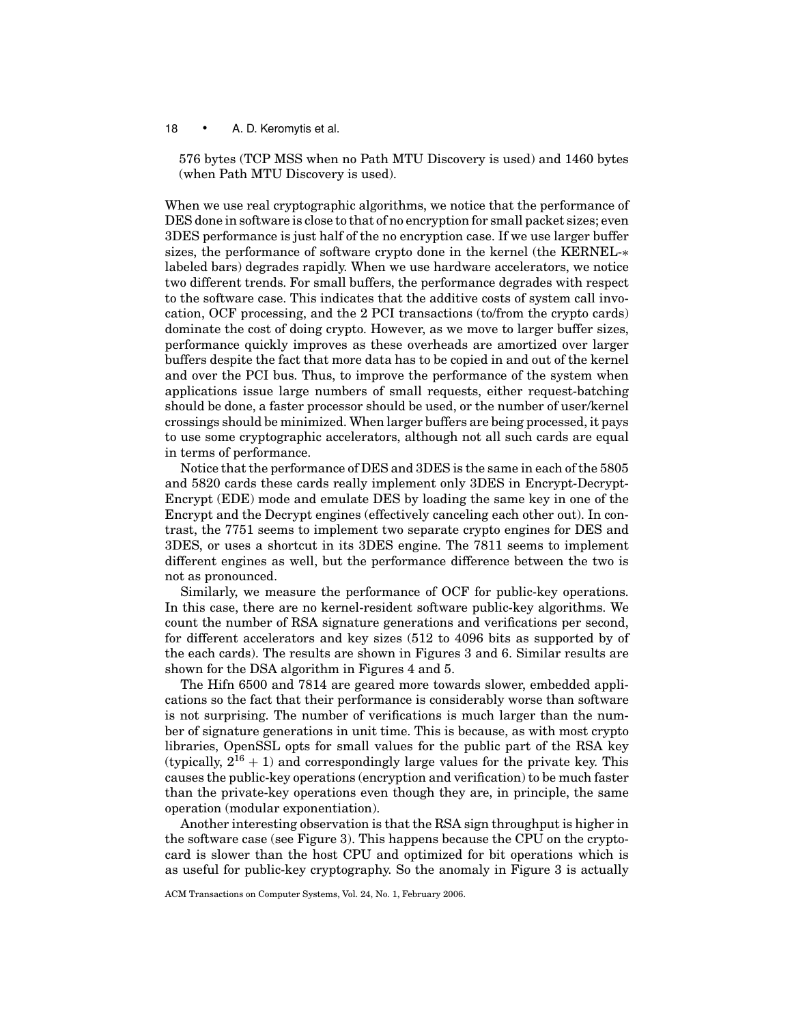576 bytes (TCP MSS when no Path MTU Discovery is used) and 1460 bytes (when Path MTU Discovery is used).

When we use real cryptographic algorithms, we notice that the performance of DES done in software is close to that of no encryption for small packet sizes; even 3DES performance is just half of the no encryption case. If we use larger buffer sizes, the performance of software crypto done in the kernel (the KERNEL-∗ labeled bars) degrades rapidly. When we use hardware accelerators, we notice two different trends. For small buffers, the performance degrades with respect to the software case. This indicates that the additive costs of system call invocation, OCF processing, and the 2 PCI transactions (to/from the crypto cards) dominate the cost of doing crypto. However, as we move to larger buffer sizes, performance quickly improves as these overheads are amortized over larger buffers despite the fact that more data has to be copied in and out of the kernel and over the PCI bus. Thus, to improve the performance of the system when applications issue large numbers of small requests, either request-batching should be done, a faster processor should be used, or the number of user/kernel crossings should be minimized. When larger buffers are being processed, it pays to use some cryptographic accelerators, although not all such cards are equal in terms of performance.

Notice that the performance of DES and 3DES is the same in each of the 5805 and 5820 cards these cards really implement only 3DES in Encrypt-Decrypt-Encrypt (EDE) mode and emulate DES by loading the same key in one of the Encrypt and the Decrypt engines (effectively canceling each other out). In contrast, the 7751 seems to implement two separate crypto engines for DES and 3DES, or uses a shortcut in its 3DES engine. The 7811 seems to implement different engines as well, but the performance difference between the two is not as pronounced.

Similarly, we measure the performance of OCF for public-key operations. In this case, there are no kernel-resident software public-key algorithms. We count the number of RSA signature generations and verifications per second, for different accelerators and key sizes (512 to 4096 bits as supported by of the each cards). The results are shown in Figures 3 and 6. Similar results are shown for the DSA algorithm in Figures 4 and 5.

The Hifn 6500 and 7814 are geared more towards slower, embedded applications so the fact that their performance is considerably worse than software is not surprising. The number of verifications is much larger than the number of signature generations in unit time. This is because, as with most crypto libraries, OpenSSL opts for small values for the public part of the RSA key (typically,  $2^{16} + 1$ ) and correspondingly large values for the private key. This causes the public-key operations (encryption and verification) to be much faster than the private-key operations even though they are, in principle, the same operation (modular exponentiation).

Another interesting observation is that the RSA sign throughput is higher in the software case (see Figure 3). This happens because the CPU on the cryptocard is slower than the host CPU and optimized for bit operations which is as useful for public-key cryptography. So the anomaly in Figure 3 is actually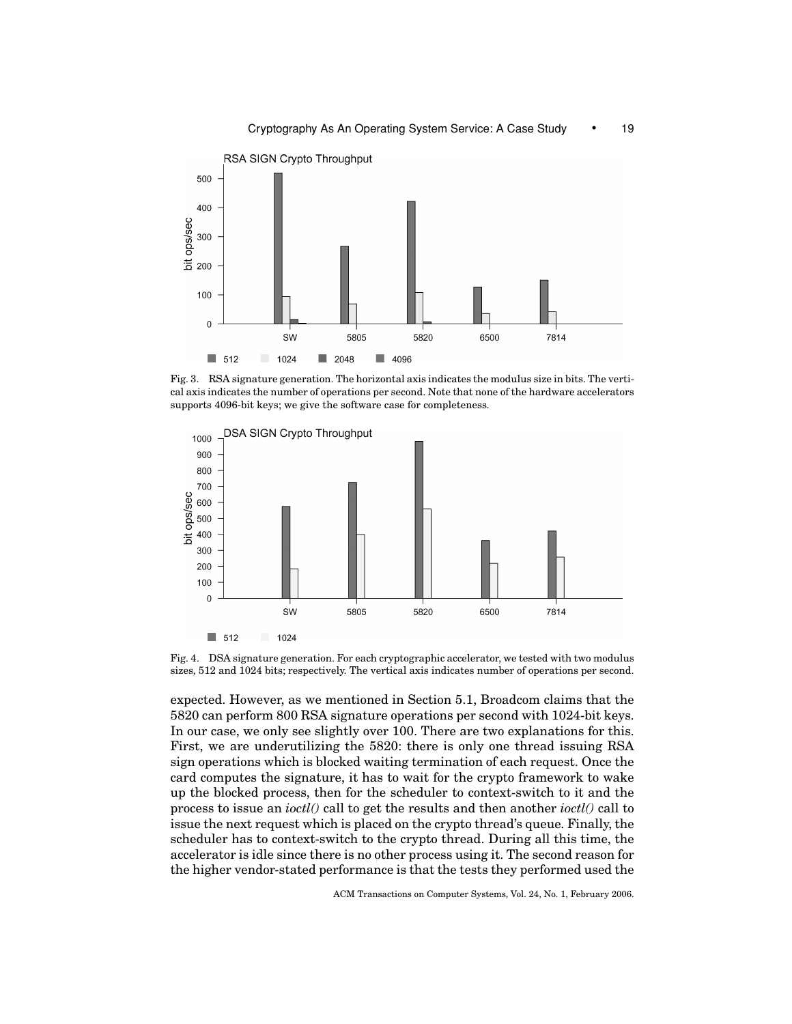

Fig. 3. RSA signature generation. The horizontal axis indicates the modulus size in bits. The vertical axis indicates the number of operations per second. Note that none of the hardware accelerators supports 4096-bit keys; we give the software case for completeness.



Fig. 4. DSA signature generation. For each cryptographic accelerator, we tested with two modulus sizes, 512 and 1024 bits; respectively. The vertical axis indicates number of operations per second.

expected. However, as we mentioned in Section 5.1, Broadcom claims that the 5820 can perform 800 RSA signature operations per second with 1024-bit keys. In our case, we only see slightly over 100. There are two explanations for this. First, we are underutilizing the 5820: there is only one thread issuing RSA sign operations which is blocked waiting termination of each request. Once the card computes the signature, it has to wait for the crypto framework to wake up the blocked process, then for the scheduler to context-switch to it and the process to issue an *ioctl()* call to get the results and then another *ioctl()* call to issue the next request which is placed on the crypto thread's queue. Finally, the scheduler has to context-switch to the crypto thread. During all this time, the accelerator is idle since there is no other process using it. The second reason for the higher vendor-stated performance is that the tests they performed used the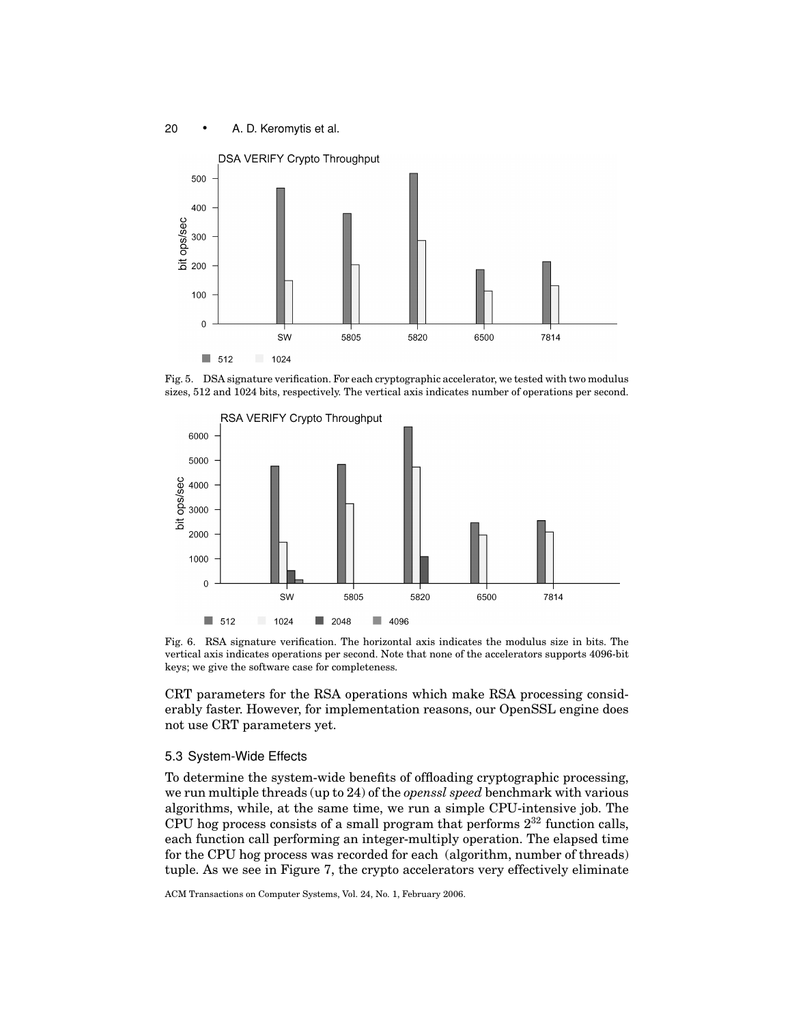



Fig. 5. DSA signature verification. For each cryptographic accelerator, we tested with two modulus sizes, 512 and 1024 bits, respectively. The vertical axis indicates number of operations per second.



Fig. 6. RSA signature verification. The horizontal axis indicates the modulus size in bits. The vertical axis indicates operations per second. Note that none of the accelerators supports 4096-bit keys; we give the software case for completeness.

CRT parameters for the RSA operations which make RSA processing considerably faster. However, for implementation reasons, our OpenSSL engine does not use CRT parameters yet.

## 5.3 System-Wide Effects

To determine the system-wide benefits of offloading cryptographic processing, we run multiple threads (up to 24) of the *openssl speed* benchmark with various algorithms, while, at the same time, we run a simple CPU-intensive job. The CPU hog process consists of a small program that performs  $2^{32}$  function calls, each function call performing an integer-multiply operation. The elapsed time for the CPU hog process was recorded for each (algorithm, number of threads) tuple. As we see in Figure 7, the crypto accelerators very effectively eliminate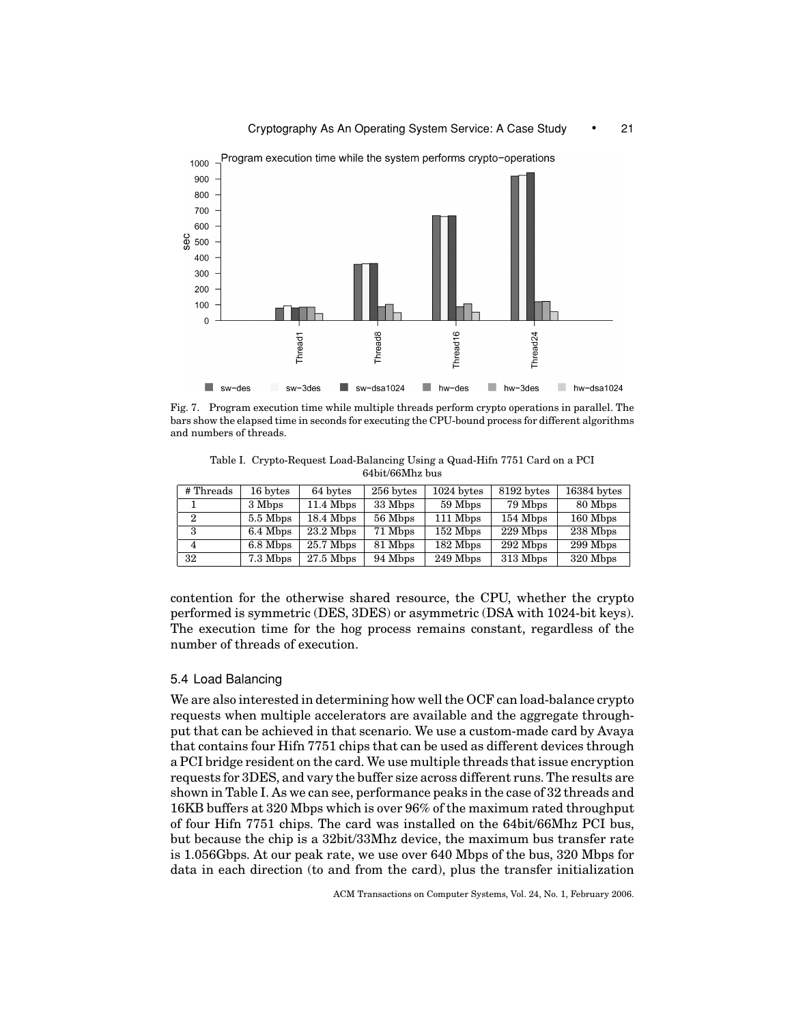

Fig. 7. Program execution time while multiple threads perform crypto operations in parallel. The bars show the elapsed time in seconds for executing the CPU-bound process for different algorithms and numbers of threads.

Table I. Crypto-Request Load-Balancing Using a Quad-Hifn 7751 Card on a PCI 64bit/66Mhz bus

| # Threads      | 16 bytes | 64 bytes    | 256 bytes | $1024$ bytes | 8192 bytes | 16384 bytes |
|----------------|----------|-------------|-----------|--------------|------------|-------------|
|                | 3 Mbps   | $11.4$ Mbps | 33 Mbps   | 59 Mbps      | 79 Mbps    | 80 Mbps     |
| $\overline{2}$ | 5.5 Mbps | $18.4$ Mbps | 56 Mbps   | 111 Mbps     | 154 Mbps   | 160 Mbps    |
| 3              | 6.4 Mbps | $23.2$ Mbps | 71 Mbps   | 152 Mbps     | 229 Mbps   | 238 Mbps    |
| $\overline{4}$ | 6.8 Mbps | $25.7$ Mbps | 81 Mbps   | 182 Mbps     | 292 Mbps   | $299$ Mbps  |
| 32             | 7.3 Mbps | $27.5$ Mbps | 94 Mbps   | 249 Mbps     | 313 Mbps   | 320 Mbps    |

contention for the otherwise shared resource, the CPU, whether the crypto performed is symmetric (DES, 3DES) or asymmetric (DSA with 1024-bit keys). The execution time for the hog process remains constant, regardless of the number of threads of execution.

## 5.4 Load Balancing

We are also interested in determining how well the OCF can load-balance crypto requests when multiple accelerators are available and the aggregate throughput that can be achieved in that scenario. We use a custom-made card by Avaya that contains four Hifn 7751 chips that can be used as different devices through a PCI bridge resident on the card. We use multiple threads that issue encryption requests for 3DES, and vary the buffer size across different runs. The results are shown in Table I. As we can see, performance peaks in the case of 32 threads and 16KB buffers at 320 Mbps which is over 96% of the maximum rated throughput of four Hifn 7751 chips. The card was installed on the 64bit/66Mhz PCI bus, but because the chip is a 32bit/33Mhz device, the maximum bus transfer rate is 1.056Gbps. At our peak rate, we use over 640 Mbps of the bus, 320 Mbps for data in each direction (to and from the card), plus the transfer initialization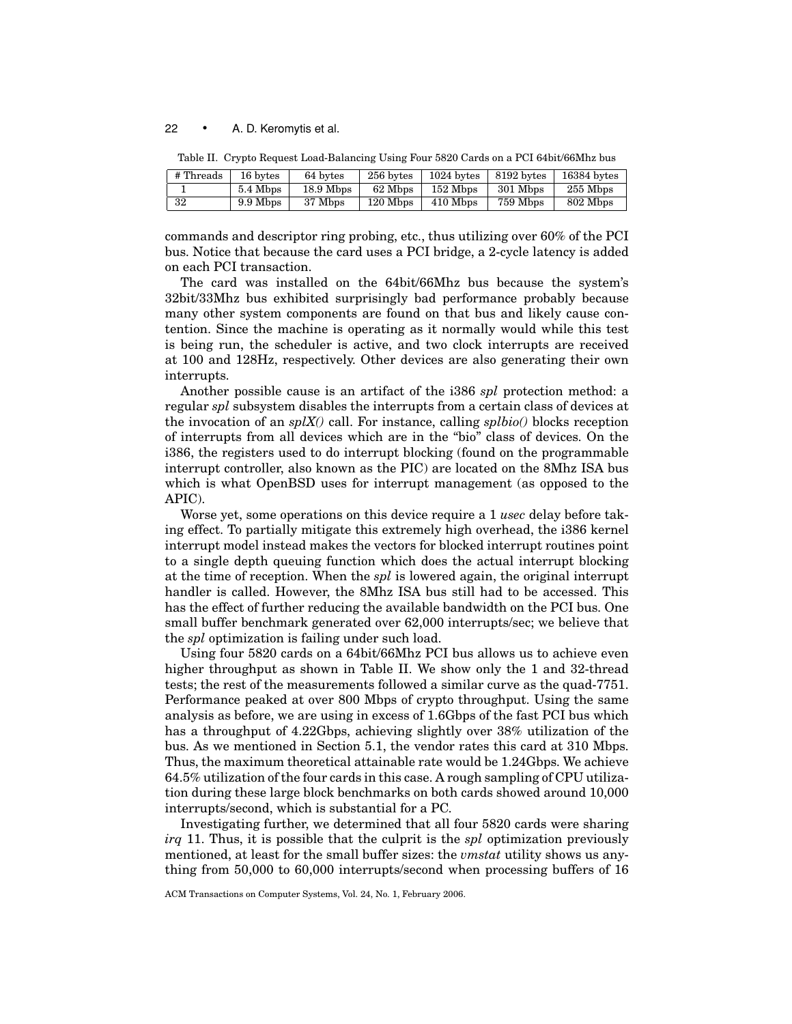| # Threads | 16 bytes   | 64 bytes    | 256 bytes | $1024$ bytes | 8192 bytes | 16384 bytes |
|-----------|------------|-------------|-----------|--------------|------------|-------------|
|           | 5.4 Mbps   | $18.9$ Mbps | 62 Mbps   | 152 Mbps     | $301$ Mbps | $255$ Mbps  |
| 32        | $9.9$ Mbps | 37 Mbps     | 120 Mbps  | $410$ Mbps   | 759 Mbps   | 802 Mbps    |

Table II. Crypto Request Load-Balancing Using Four 5820 Cards on a PCI 64bit/66Mhz bus

commands and descriptor ring probing, etc., thus utilizing over 60% of the PCI bus. Notice that because the card uses a PCI bridge, a 2-cycle latency is added on each PCI transaction.

The card was installed on the 64bit/66Mhz bus because the system's 32bit/33Mhz bus exhibited surprisingly bad performance probably because many other system components are found on that bus and likely cause contention. Since the machine is operating as it normally would while this test is being run, the scheduler is active, and two clock interrupts are received at 100 and 128Hz, respectively. Other devices are also generating their own interrupts.

Another possible cause is an artifact of the i386 *spl* protection method: a regular *spl* subsystem disables the interrupts from a certain class of devices at the invocation of an *splX()* call. For instance, calling *splbio()* blocks reception of interrupts from all devices which are in the "bio" class of devices. On the i386, the registers used to do interrupt blocking (found on the programmable interrupt controller, also known as the PIC) are located on the 8Mhz ISA bus which is what OpenBSD uses for interrupt management (as opposed to the APIC).

Worse yet, some operations on this device require a 1 *usec* delay before taking effect. To partially mitigate this extremely high overhead, the i386 kernel interrupt model instead makes the vectors for blocked interrupt routines point to a single depth queuing function which does the actual interrupt blocking at the time of reception. When the *spl* is lowered again, the original interrupt handler is called. However, the 8Mhz ISA bus still had to be accessed. This has the effect of further reducing the available bandwidth on the PCI bus. One small buffer benchmark generated over 62,000 interrupts/sec; we believe that the *spl* optimization is failing under such load.

Using four 5820 cards on a 64bit/66Mhz PCI bus allows us to achieve even higher throughput as shown in Table II. We show only the 1 and 32-thread tests; the rest of the measurements followed a similar curve as the quad-7751. Performance peaked at over 800 Mbps of crypto throughput. Using the same analysis as before, we are using in excess of 1.6Gbps of the fast PCI bus which has a throughput of 4.22Gbps, achieving slightly over 38% utilization of the bus. As we mentioned in Section 5.1, the vendor rates this card at 310 Mbps. Thus, the maximum theoretical attainable rate would be 1.24Gbps. We achieve 64.5% utilization of the four cards in this case. A rough sampling of CPU utilization during these large block benchmarks on both cards showed around 10,000 interrupts/second, which is substantial for a PC.

Investigating further, we determined that all four 5820 cards were sharing *irq* 11. Thus, it is possible that the culprit is the *spl* optimization previously mentioned, at least for the small buffer sizes: the *vmstat* utility shows us anything from 50,000 to 60,000 interrupts/second when processing buffers of 16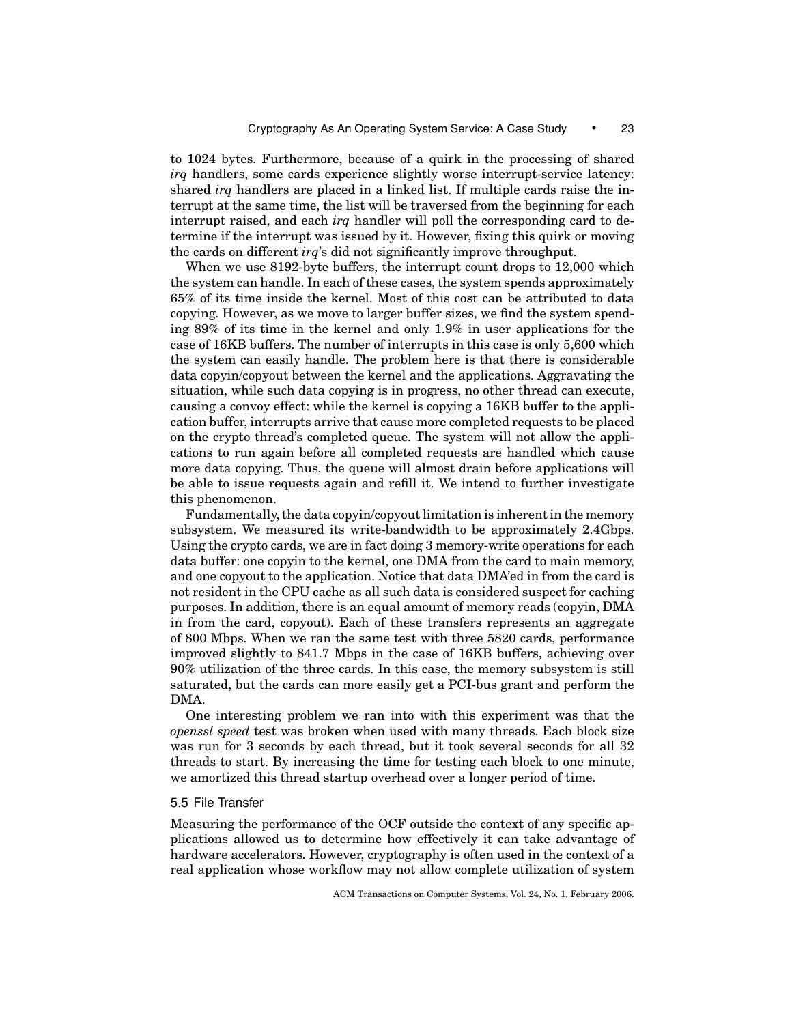to 1024 bytes. Furthermore, because of a quirk in the processing of shared *irq* handlers, some cards experience slightly worse interrupt-service latency: shared *irq* handlers are placed in a linked list. If multiple cards raise the interrupt at the same time, the list will be traversed from the beginning for each interrupt raised, and each *irq* handler will poll the corresponding card to determine if the interrupt was issued by it. However, fixing this quirk or moving the cards on different *irq*'s did not significantly improve throughput.

When we use 8192-byte buffers, the interrupt count drops to 12,000 which the system can handle. In each of these cases, the system spends approximately 65% of its time inside the kernel. Most of this cost can be attributed to data copying. However, as we move to larger buffer sizes, we find the system spending 89% of its time in the kernel and only 1.9% in user applications for the case of 16KB buffers. The number of interrupts in this case is only 5,600 which the system can easily handle. The problem here is that there is considerable data copyin/copyout between the kernel and the applications. Aggravating the situation, while such data copying is in progress, no other thread can execute, causing a convoy effect: while the kernel is copying a 16KB buffer to the application buffer, interrupts arrive that cause more completed requests to be placed on the crypto thread's completed queue. The system will not allow the applications to run again before all completed requests are handled which cause more data copying. Thus, the queue will almost drain before applications will be able to issue requests again and refill it. We intend to further investigate this phenomenon.

Fundamentally, the data copyin/copyout limitation is inherent in the memory subsystem. We measured its write-bandwidth to be approximately 2.4Gbps. Using the crypto cards, we are in fact doing 3 memory-write operations for each data buffer: one copyin to the kernel, one DMA from the card to main memory, and one copyout to the application. Notice that data DMA'ed in from the card is not resident in the CPU cache as all such data is considered suspect for caching purposes. In addition, there is an equal amount of memory reads (copyin, DMA in from the card, copyout). Each of these transfers represents an aggregate of 800 Mbps. When we ran the same test with three 5820 cards, performance improved slightly to 841.7 Mbps in the case of 16KB buffers, achieving over 90% utilization of the three cards. In this case, the memory subsystem is still saturated, but the cards can more easily get a PCI-bus grant and perform the DMA.

One interesting problem we ran into with this experiment was that the *openssl speed* test was broken when used with many threads. Each block size was run for 3 seconds by each thread, but it took several seconds for all 32 threads to start. By increasing the time for testing each block to one minute, we amortized this thread startup overhead over a longer period of time.

## 5.5 File Transfer

Measuring the performance of the OCF outside the context of any specific applications allowed us to determine how effectively it can take advantage of hardware accelerators. However, cryptography is often used in the context of a real application whose workflow may not allow complete utilization of system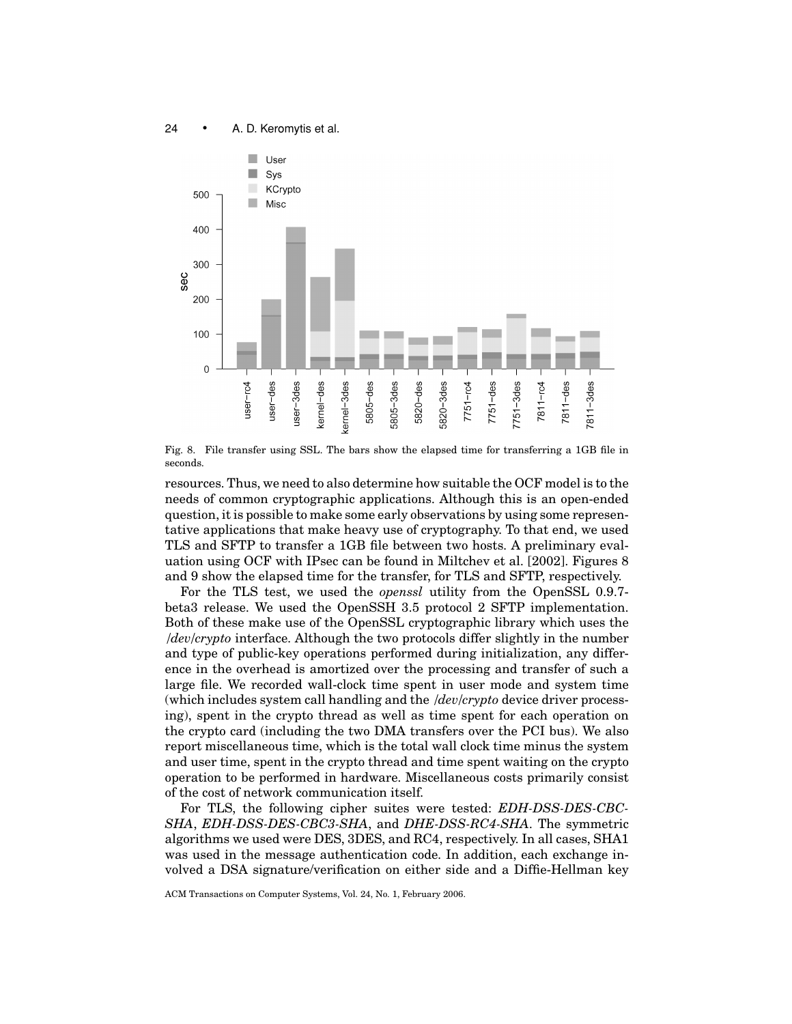

Fig. 8. File transfer using SSL. The bars show the elapsed time for transferring a 1GB file in seconds.

resources. Thus, we need to also determine how suitable the OCF model is to the needs of common cryptographic applications. Although this is an open-ended question, it is possible to make some early observations by using some representative applications that make heavy use of cryptography. To that end, we used TLS and SFTP to transfer a 1GB file between two hosts. A preliminary evaluation using OCF with IPsec can be found in Miltchev et al. [2002]. Figures 8 and 9 show the elapsed time for the transfer, for TLS and SFTP, respectively.

For the TLS test, we used the *openssl* utility from the OpenSSL 0.9.7 beta3 release. We used the OpenSSH 3.5 protocol 2 SFTP implementation. Both of these make use of the OpenSSL cryptographic library which uses the */dev/crypto* interface. Although the two protocols differ slightly in the number and type of public-key operations performed during initialization, any difference in the overhead is amortized over the processing and transfer of such a large file. We recorded wall-clock time spent in user mode and system time (which includes system call handling and the */dev/crypto* device driver processing), spent in the crypto thread as well as time spent for each operation on the crypto card (including the two DMA transfers over the PCI bus). We also report miscellaneous time, which is the total wall clock time minus the system and user time, spent in the crypto thread and time spent waiting on the crypto operation to be performed in hardware. Miscellaneous costs primarily consist of the cost of network communication itself.

For TLS, the following cipher suites were tested: *EDH-DSS-DES-CBC-SHA*, *EDH-DSS-DES-CBC3-SHA*, and *DHE-DSS-RC4-SHA*. The symmetric algorithms we used were DES, 3DES, and RC4, respectively. In all cases, SHA1 was used in the message authentication code. In addition, each exchange involved a DSA signature/verification on either side and a Diffie-Hellman key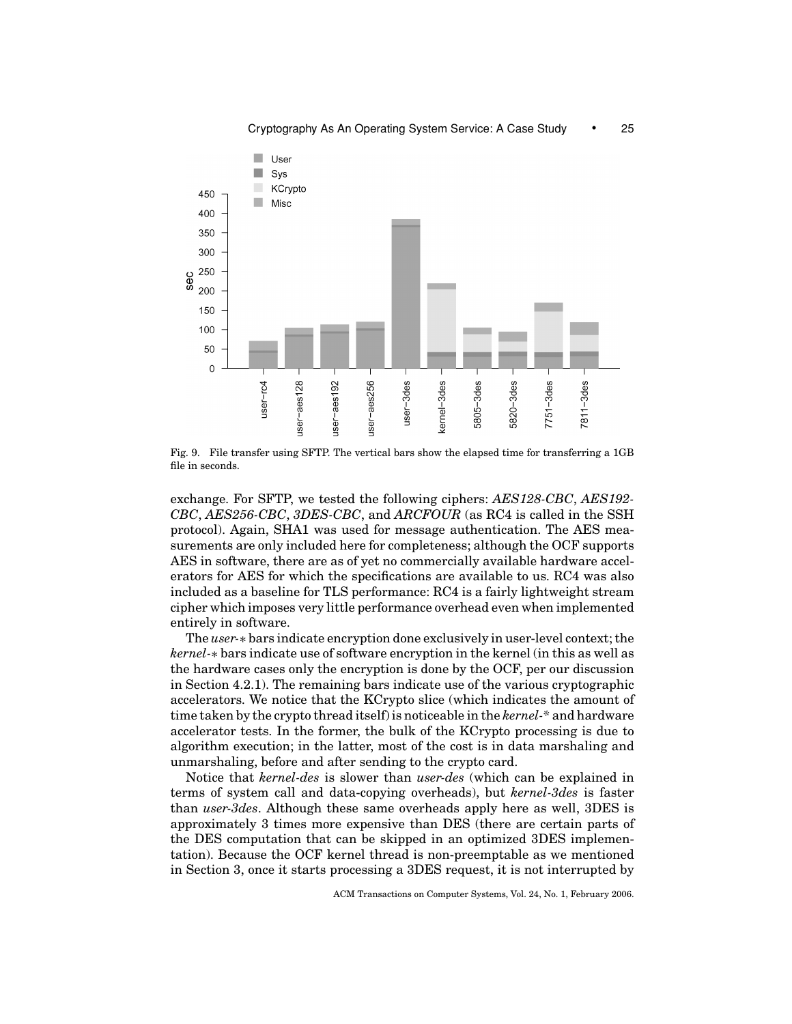

Fig. 9. File transfer using SFTP. The vertical bars show the elapsed time for transferring a 1GB file in seconds.

exchange. For SFTP, we tested the following ciphers: *AES128-CBC*, *AES192- CBC*, *AES256-CBC*, *3DES-CBC*, and *ARCFOUR* (as RC4 is called in the SSH protocol). Again, SHA1 was used for message authentication. The AES measurements are only included here for completeness; although the OCF supports AES in software, there are as of yet no commercially available hardware accelerators for AES for which the specifications are available to us. RC4 was also included as a baseline for TLS performance: RC4 is a fairly lightweight stream cipher which imposes very little performance overhead even when implemented entirely in software.

The *user-*∗ bars indicate encryption done exclusively in user-level context; the *kernel-*∗ bars indicate use of software encryption in the kernel (in this as well as the hardware cases only the encryption is done by the OCF, per our discussion in Section 4.2.1). The remaining bars indicate use of the various cryptographic accelerators. We notice that the KCrypto slice (which indicates the amount of time taken by the crypto thread itself) is noticeable in the *kernel-\** and hardware accelerator tests. In the former, the bulk of the KCrypto processing is due to algorithm execution; in the latter, most of the cost is in data marshaling and unmarshaling, before and after sending to the crypto card.

Notice that *kernel-des* is slower than *user-des* (which can be explained in terms of system call and data-copying overheads), but *kernel-3des* is faster than *user-3des*. Although these same overheads apply here as well, 3DES is approximately 3 times more expensive than DES (there are certain parts of the DES computation that can be skipped in an optimized 3DES implementation). Because the OCF kernel thread is non-preemptable as we mentioned in Section 3, once it starts processing a 3DES request, it is not interrupted by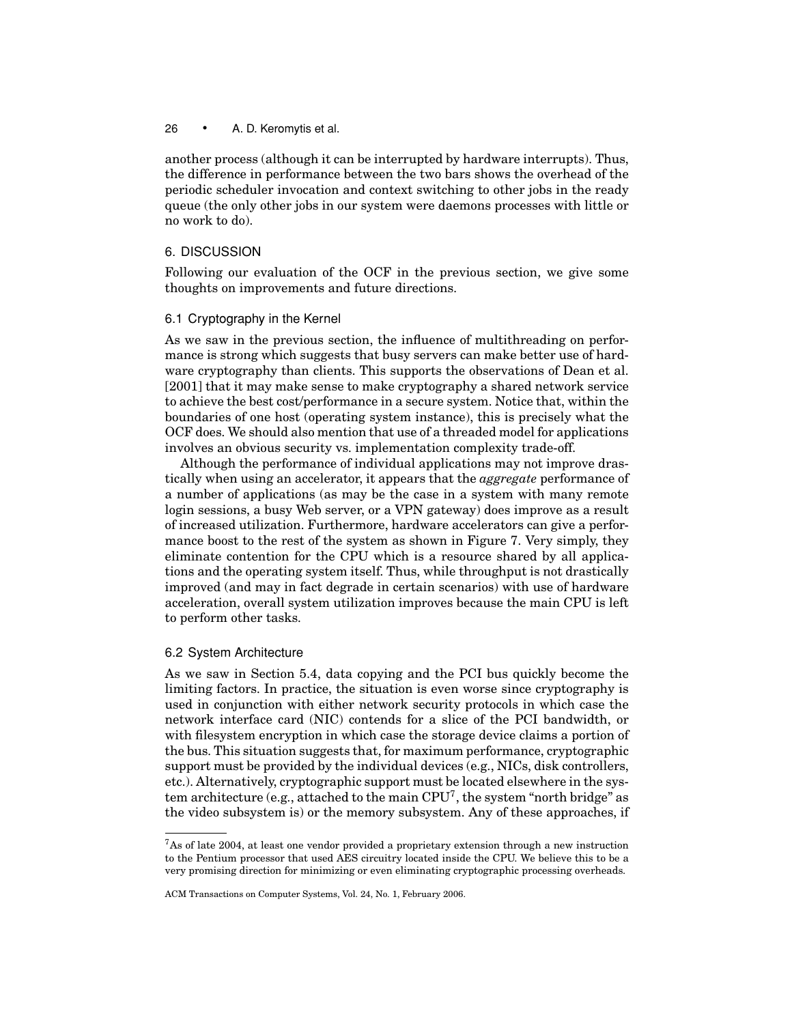another process (although it can be interrupted by hardware interrupts). Thus, the difference in performance between the two bars shows the overhead of the periodic scheduler invocation and context switching to other jobs in the ready queue (the only other jobs in our system were daemons processes with little or no work to do).

#### 6. DISCUSSION

Following our evaluation of the OCF in the previous section, we give some thoughts on improvements and future directions.

#### 6.1 Cryptography in the Kernel

As we saw in the previous section, the influence of multithreading on performance is strong which suggests that busy servers can make better use of hardware cryptography than clients. This supports the observations of Dean et al. [2001] that it may make sense to make cryptography a shared network service to achieve the best cost/performance in a secure system. Notice that, within the boundaries of one host (operating system instance), this is precisely what the OCF does. We should also mention that use of a threaded model for applications involves an obvious security vs. implementation complexity trade-off.

Although the performance of individual applications may not improve drastically when using an accelerator, it appears that the *aggregate* performance of a number of applications (as may be the case in a system with many remote login sessions, a busy Web server, or a VPN gateway) does improve as a result of increased utilization. Furthermore, hardware accelerators can give a performance boost to the rest of the system as shown in Figure 7. Very simply, they eliminate contention for the CPU which is a resource shared by all applications and the operating system itself. Thus, while throughput is not drastically improved (and may in fact degrade in certain scenarios) with use of hardware acceleration, overall system utilization improves because the main CPU is left to perform other tasks.

## 6.2 System Architecture

As we saw in Section 5.4, data copying and the PCI bus quickly become the limiting factors. In practice, the situation is even worse since cryptography is used in conjunction with either network security protocols in which case the network interface card (NIC) contends for a slice of the PCI bandwidth, or with filesystem encryption in which case the storage device claims a portion of the bus. This situation suggests that, for maximum performance, cryptographic support must be provided by the individual devices (e.g., NICs, disk controllers, etc.). Alternatively, cryptographic support must be located elsewhere in the system architecture (e.g., attached to the main  $CPU^7$ , the system "north bridge" as the video subsystem is) or the memory subsystem. Any of these approaches, if

<sup>7</sup>As of late 2004, at least one vendor provided a proprietary extension through a new instruction to the Pentium processor that used AES circuitry located inside the CPU. We believe this to be a very promising direction for minimizing or even eliminating cryptographic processing overheads.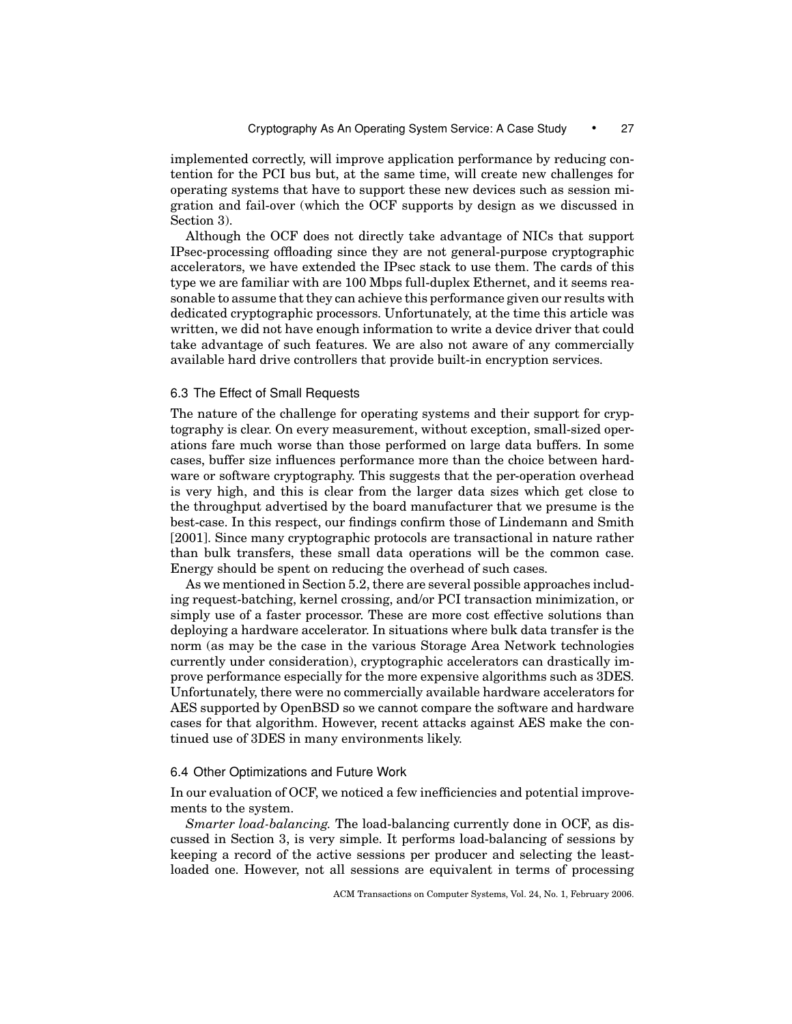implemented correctly, will improve application performance by reducing contention for the PCI bus but, at the same time, will create new challenges for operating systems that have to support these new devices such as session migration and fail-over (which the OCF supports by design as we discussed in Section 3).

Although the OCF does not directly take advantage of NICs that support IPsec-processing offloading since they are not general-purpose cryptographic accelerators, we have extended the IPsec stack to use them. The cards of this type we are familiar with are 100 Mbps full-duplex Ethernet, and it seems reasonable to assume that they can achieve this performance given our results with dedicated cryptographic processors. Unfortunately, at the time this article was written, we did not have enough information to write a device driver that could take advantage of such features. We are also not aware of any commercially available hard drive controllers that provide built-in encryption services.

## 6.3 The Effect of Small Requests

The nature of the challenge for operating systems and their support for cryptography is clear. On every measurement, without exception, small-sized operations fare much worse than those performed on large data buffers. In some cases, buffer size influences performance more than the choice between hardware or software cryptography. This suggests that the per-operation overhead is very high, and this is clear from the larger data sizes which get close to the throughput advertised by the board manufacturer that we presume is the best-case. In this respect, our findings confirm those of Lindemann and Smith [2001]. Since many cryptographic protocols are transactional in nature rather than bulk transfers, these small data operations will be the common case. Energy should be spent on reducing the overhead of such cases.

As we mentioned in Section 5.2, there are several possible approaches including request-batching, kernel crossing, and/or PCI transaction minimization, or simply use of a faster processor. These are more cost effective solutions than deploying a hardware accelerator. In situations where bulk data transfer is the norm (as may be the case in the various Storage Area Network technologies currently under consideration), cryptographic accelerators can drastically improve performance especially for the more expensive algorithms such as 3DES. Unfortunately, there were no commercially available hardware accelerators for AES supported by OpenBSD so we cannot compare the software and hardware cases for that algorithm. However, recent attacks against AES make the continued use of 3DES in many environments likely.

## 6.4 Other Optimizations and Future Work

In our evaluation of OCF, we noticed a few inefficiencies and potential improvements to the system.

*Smarter load-balancing.* The load-balancing currently done in OCF, as discussed in Section 3, is very simple. It performs load-balancing of sessions by keeping a record of the active sessions per producer and selecting the leastloaded one. However, not all sessions are equivalent in terms of processing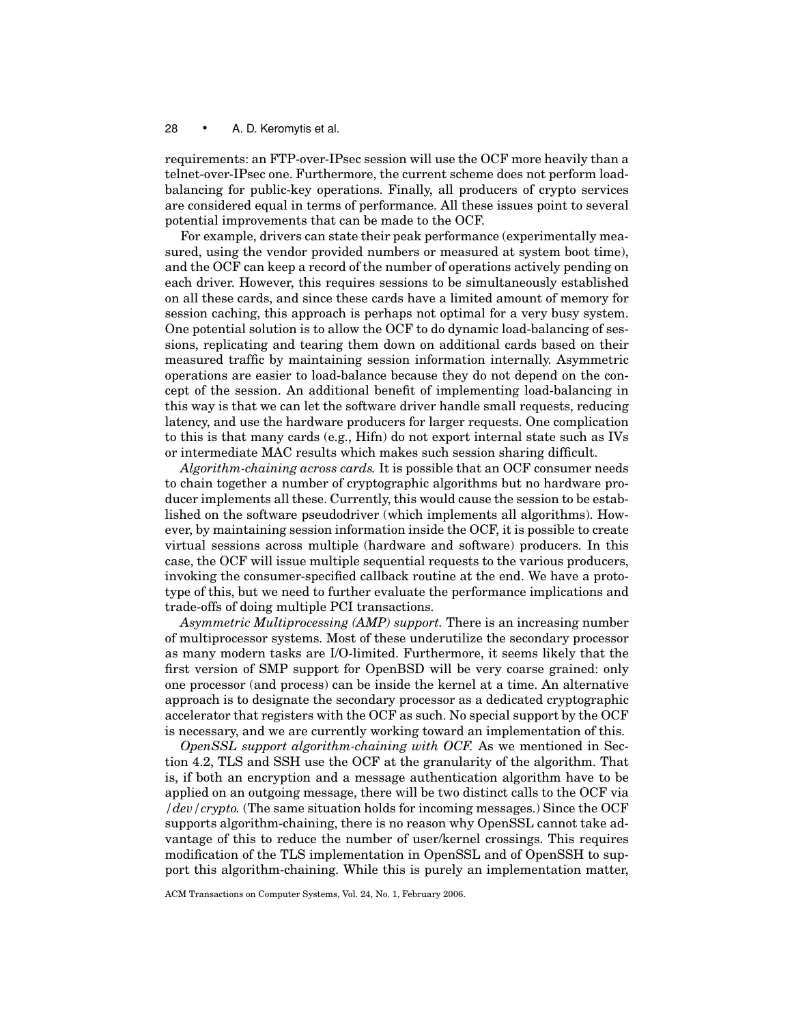requirements: an FTP-over-IPsec session will use the OCF more heavily than a telnet-over-IPsec one. Furthermore, the current scheme does not perform loadbalancing for public-key operations. Finally, all producers of crypto services are considered equal in terms of performance. All these issues point to several potential improvements that can be made to the OCF.

For example, drivers can state their peak performance (experimentally measured, using the vendor provided numbers or measured at system boot time), and the OCF can keep a record of the number of operations actively pending on each driver. However, this requires sessions to be simultaneously established on all these cards, and since these cards have a limited amount of memory for session caching, this approach is perhaps not optimal for a very busy system. One potential solution is to allow the OCF to do dynamic load-balancing of sessions, replicating and tearing them down on additional cards based on their measured traffic by maintaining session information internally. Asymmetric operations are easier to load-balance because they do not depend on the concept of the session. An additional benefit of implementing load-balancing in this way is that we can let the software driver handle small requests, reducing latency, and use the hardware producers for larger requests. One complication to this is that many cards (e.g., Hifn) do not export internal state such as IVs or intermediate MAC results which makes such session sharing difficult.

*Algorithm-chaining across cards.* It is possible that an OCF consumer needs to chain together a number of cryptographic algorithms but no hardware producer implements all these. Currently, this would cause the session to be established on the software pseudodriver (which implements all algorithms). However, by maintaining session information inside the OCF, it is possible to create virtual sessions across multiple (hardware and software) producers. In this case, the OCF will issue multiple sequential requests to the various producers, invoking the consumer-specified callback routine at the end. We have a prototype of this, but we need to further evaluate the performance implications and trade-offs of doing multiple PCI transactions.

*Asymmetric Multiprocessing (AMP) support.* There is an increasing number of multiprocessor systems. Most of these underutilize the secondary processor as many modern tasks are I/O-limited. Furthermore, it seems likely that the first version of SMP support for OpenBSD will be very coarse grained: only one processor (and process) can be inside the kernel at a time. An alternative approach is to designate the secondary processor as a dedicated cryptographic accelerator that registers with the OCF as such. No special support by the OCF is necessary, and we are currently working toward an implementation of this.

*OpenSSL support algorithm-chaining with OCF.* As we mentioned in Section 4.2, TLS and SSH use the OCF at the granularity of the algorithm. That is, if both an encryption and a message authentication algorithm have to be applied on an outgoing message, there will be two distinct calls to the OCF via */dev/crypto.* (The same situation holds for incoming messages.) Since the OCF supports algorithm-chaining, there is no reason why OpenSSL cannot take advantage of this to reduce the number of user/kernel crossings. This requires modification of the TLS implementation in OpenSSL and of OpenSSH to support this algorithm-chaining. While this is purely an implementation matter,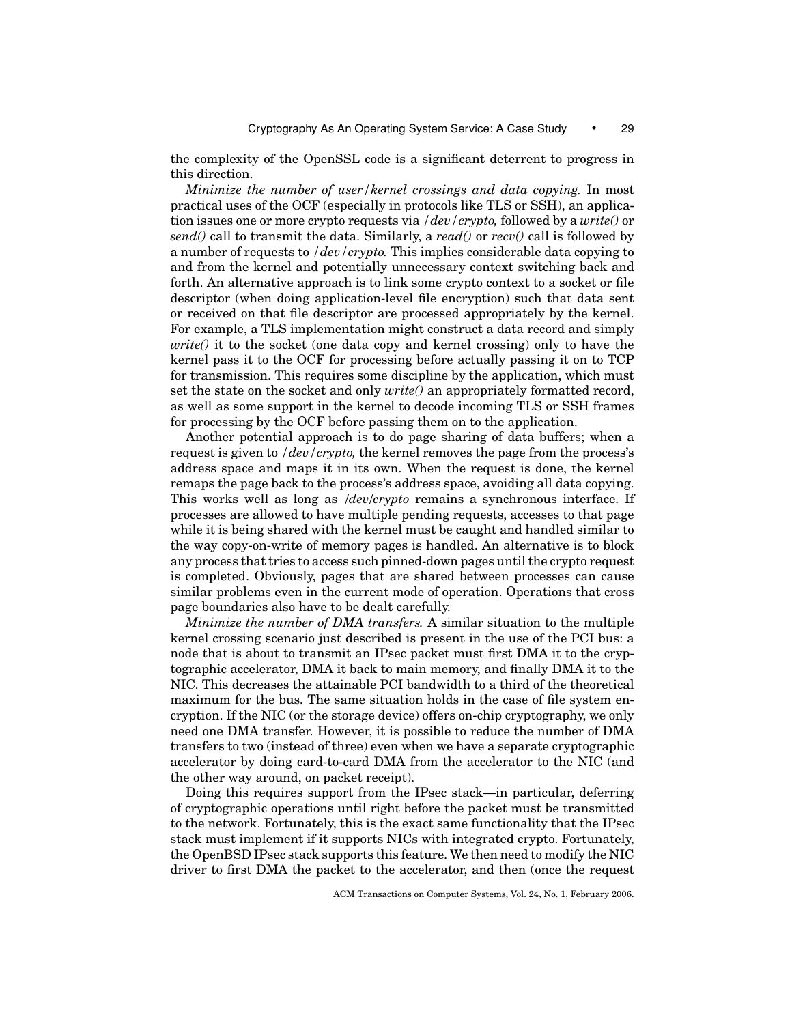the complexity of the OpenSSL code is a significant deterrent to progress in this direction.

*Minimize the number of user/kernel crossings and data copying.* In most practical uses of the OCF (especially in protocols like TLS or SSH), an application issues one or more crypto requests via */dev/crypto,* followed by a *write()* or *send()* call to transmit the data. Similarly, a *read()* or *recv()* call is followed by a number of requests to */dev/crypto.* This implies considerable data copying to and from the kernel and potentially unnecessary context switching back and forth. An alternative approach is to link some crypto context to a socket or file descriptor (when doing application-level file encryption) such that data sent or received on that file descriptor are processed appropriately by the kernel. For example, a TLS implementation might construct a data record and simply *write()* it to the socket (one data copy and kernel crossing) only to have the kernel pass it to the OCF for processing before actually passing it on to TCP for transmission. This requires some discipline by the application, which must set the state on the socket and only *write()* an appropriately formatted record, as well as some support in the kernel to decode incoming TLS or SSH frames for processing by the OCF before passing them on to the application.

Another potential approach is to do page sharing of data buffers; when a request is given to */dev/crypto,* the kernel removes the page from the process's address space and maps it in its own. When the request is done, the kernel remaps the page back to the process's address space, avoiding all data copying. This works well as long as */dev/crypto* remains a synchronous interface. If processes are allowed to have multiple pending requests, accesses to that page while it is being shared with the kernel must be caught and handled similar to the way copy-on-write of memory pages is handled. An alternative is to block any process that tries to access such pinned-down pages until the crypto request is completed. Obviously, pages that are shared between processes can cause similar problems even in the current mode of operation. Operations that cross page boundaries also have to be dealt carefully.

*Minimize the number of DMA transfers.* A similar situation to the multiple kernel crossing scenario just described is present in the use of the PCI bus: a node that is about to transmit an IPsec packet must first DMA it to the cryptographic accelerator, DMA it back to main memory, and finally DMA it to the NIC. This decreases the attainable PCI bandwidth to a third of the theoretical maximum for the bus. The same situation holds in the case of file system encryption. If the NIC (or the storage device) offers on-chip cryptography, we only need one DMA transfer. However, it is possible to reduce the number of DMA transfers to two (instead of three) even when we have a separate cryptographic accelerator by doing card-to-card DMA from the accelerator to the NIC (and the other way around, on packet receipt).

Doing this requires support from the IPsec stack—in particular, deferring of cryptographic operations until right before the packet must be transmitted to the network. Fortunately, this is the exact same functionality that the IPsec stack must implement if it supports NICs with integrated crypto. Fortunately, the OpenBSD IPsec stack supports this feature. We then need to modify the NIC driver to first DMA the packet to the accelerator, and then (once the request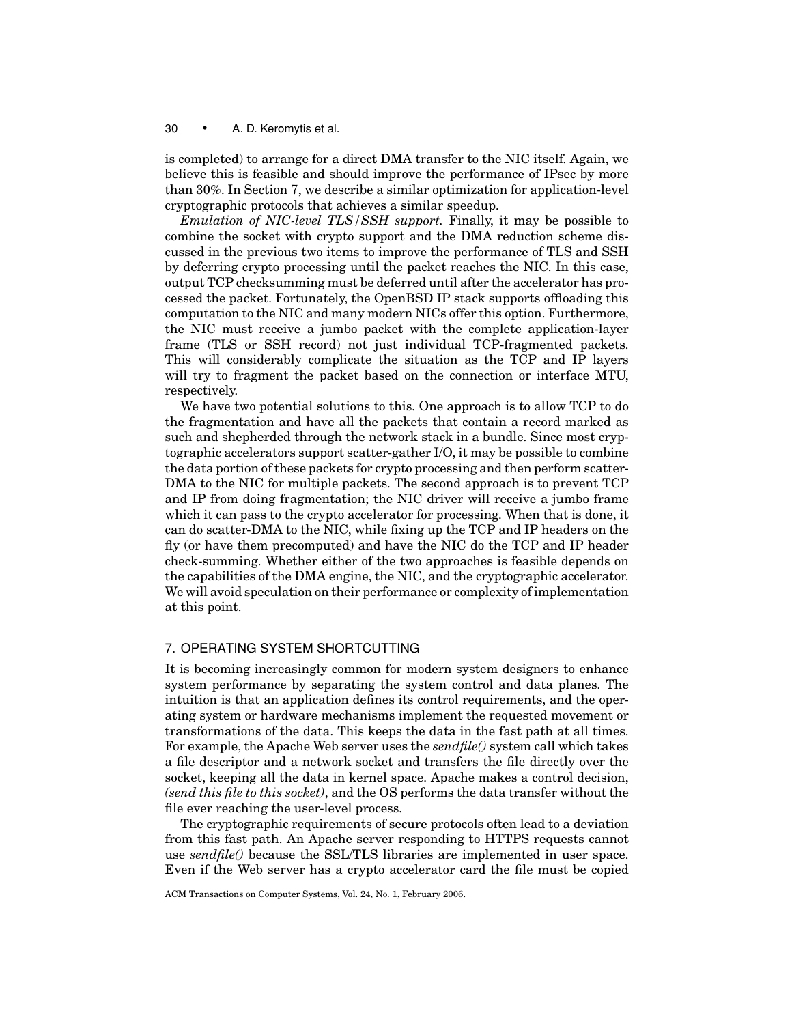is completed) to arrange for a direct DMA transfer to the NIC itself. Again, we believe this is feasible and should improve the performance of IPsec by more than 30%. In Section 7, we describe a similar optimization for application-level cryptographic protocols that achieves a similar speedup.

*Emulation of NIC-level TLS/SSH support.* Finally, it may be possible to combine the socket with crypto support and the DMA reduction scheme discussed in the previous two items to improve the performance of TLS and SSH by deferring crypto processing until the packet reaches the NIC. In this case, output TCP checksumming must be deferred until after the accelerator has processed the packet. Fortunately, the OpenBSD IP stack supports offloading this computation to the NIC and many modern NICs offer this option. Furthermore, the NIC must receive a jumbo packet with the complete application-layer frame (TLS or SSH record) not just individual TCP-fragmented packets. This will considerably complicate the situation as the TCP and IP layers will try to fragment the packet based on the connection or interface MTU, respectively.

We have two potential solutions to this. One approach is to allow TCP to do the fragmentation and have all the packets that contain a record marked as such and shepherded through the network stack in a bundle. Since most cryptographic accelerators support scatter-gather I/O, it may be possible to combine the data portion of these packets for crypto processing and then perform scatter-DMA to the NIC for multiple packets. The second approach is to prevent TCP and IP from doing fragmentation; the NIC driver will receive a jumbo frame which it can pass to the crypto accelerator for processing. When that is done, it can do scatter-DMA to the NIC, while fixing up the TCP and IP headers on the fly (or have them precomputed) and have the NIC do the TCP and IP header check-summing. Whether either of the two approaches is feasible depends on the capabilities of the DMA engine, the NIC, and the cryptographic accelerator. We will avoid speculation on their performance or complexity of implementation at this point.

## 7. OPERATING SYSTEM SHORTCUTTING

It is becoming increasingly common for modern system designers to enhance system performance by separating the system control and data planes. The intuition is that an application defines its control requirements, and the operating system or hardware mechanisms implement the requested movement or transformations of the data. This keeps the data in the fast path at all times. For example, the Apache Web server uses the *sendfile()* system call which takes a file descriptor and a network socket and transfers the file directly over the socket, keeping all the data in kernel space. Apache makes a control decision, *(send this file to this socket)*, and the OS performs the data transfer without the file ever reaching the user-level process.

The cryptographic requirements of secure protocols often lead to a deviation from this fast path. An Apache server responding to HTTPS requests cannot use *sendfile()* because the SSL/TLS libraries are implemented in user space. Even if the Web server has a crypto accelerator card the file must be copied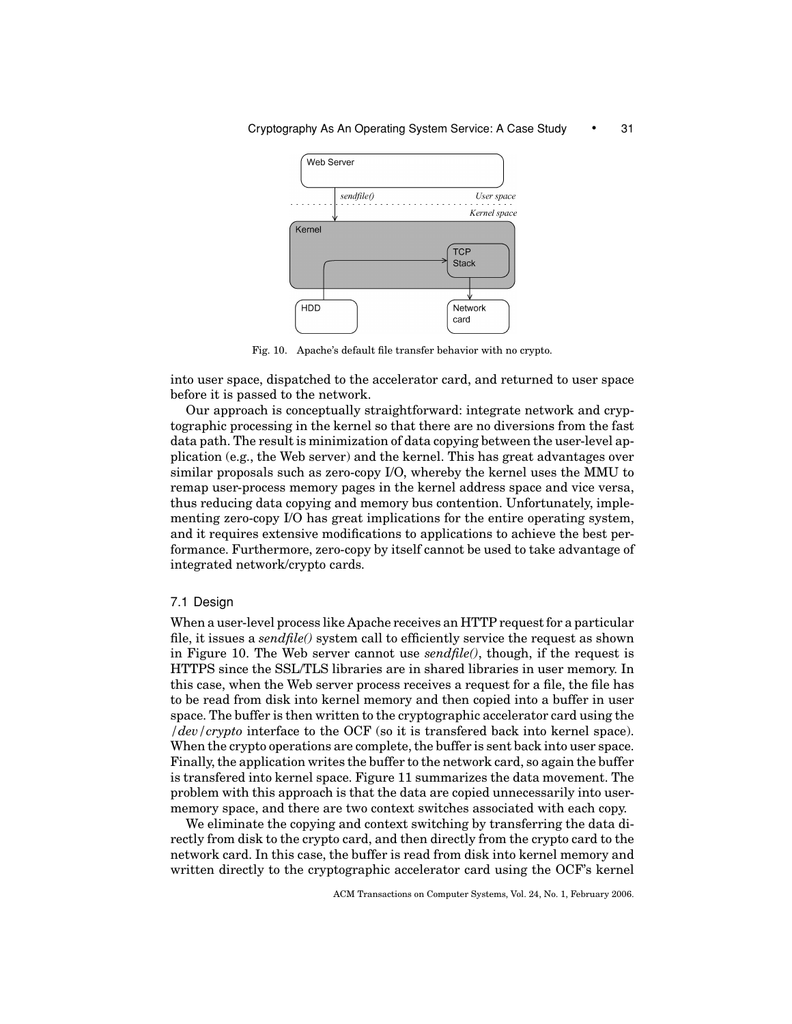

Fig. 10. Apache's default file transfer behavior with no crypto.

into user space, dispatched to the accelerator card, and returned to user space before it is passed to the network.

Our approach is conceptually straightforward: integrate network and cryptographic processing in the kernel so that there are no diversions from the fast data path. The result is minimization of data copying between the user-level application (e.g., the Web server) and the kernel. This has great advantages over similar proposals such as zero-copy I/O, whereby the kernel uses the MMU to remap user-process memory pages in the kernel address space and vice versa, thus reducing data copying and memory bus contention. Unfortunately, implementing zero-copy I/O has great implications for the entire operating system, and it requires extensive modifications to applications to achieve the best performance. Furthermore, zero-copy by itself cannot be used to take advantage of integrated network/crypto cards.

#### 7.1 Design

When a user-level process like Apache receives an HTTP request for a particular file, it issues a *sendfile()* system call to efficiently service the request as shown in Figure 10. The Web server cannot use *sendfile()*, though, if the request is HTTPS since the SSL/TLS libraries are in shared libraries in user memory. In this case, when the Web server process receives a request for a file, the file has to be read from disk into kernel memory and then copied into a buffer in user space. The buffer is then written to the cryptographic accelerator card using the */dev/crypto* interface to the OCF (so it is transfered back into kernel space). When the crypto operations are complete, the buffer is sent back into user space. Finally, the application writes the buffer to the network card, so again the buffer is transfered into kernel space. Figure 11 summarizes the data movement. The problem with this approach is that the data are copied unnecessarily into usermemory space, and there are two context switches associated with each copy.

We eliminate the copying and context switching by transferring the data directly from disk to the crypto card, and then directly from the crypto card to the network card. In this case, the buffer is read from disk into kernel memory and written directly to the cryptographic accelerator card using the OCF's kernel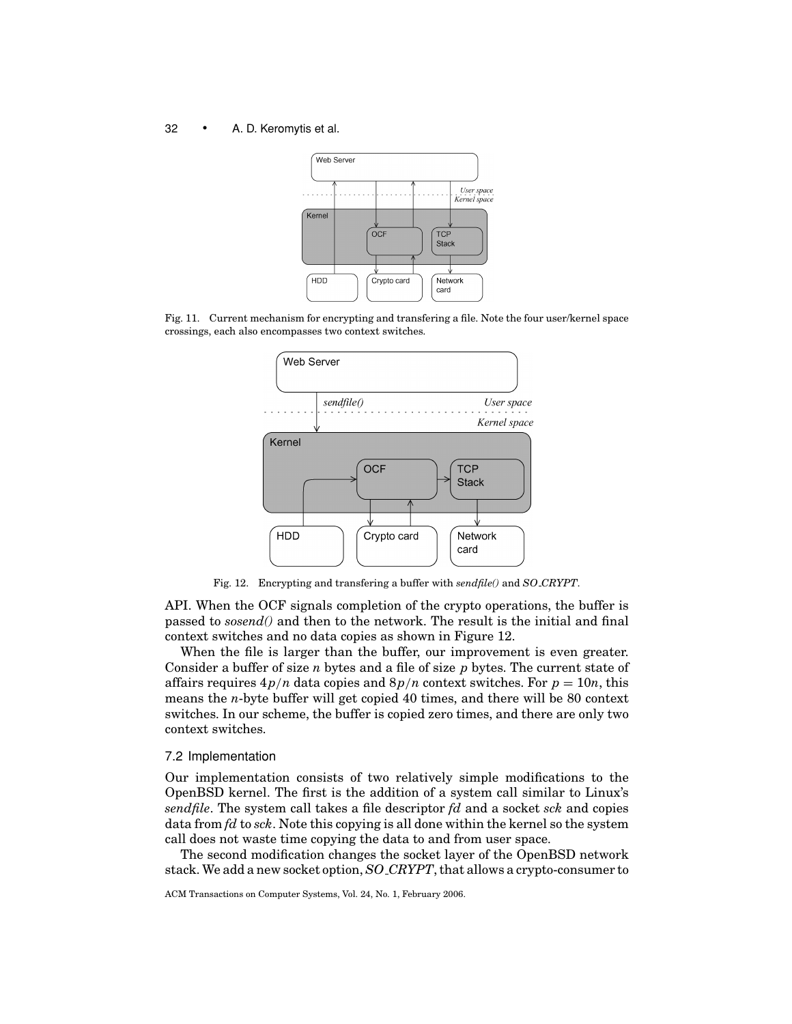

Fig. 11. Current mechanism for encrypting and transfering a file. Note the four user/kernel space crossings, each also encompasses two context switches.



Fig. 12. Encrypting and transfering a buffer with *sendfile()* and *SO CRYPT*.

API. When the OCF signals completion of the crypto operations, the buffer is passed to *sosend()* and then to the network. The result is the initial and final context switches and no data copies as shown in Figure 12.

When the file is larger than the buffer, our improvement is even greater. Consider a buffer of size *n* bytes and a file of size *p* bytes. The current state of affairs requires  $4p/n$  data copies and  $8p/n$  context switches. For  $p = 10n$ , this means the *n*-byte buffer will get copied 40 times, and there will be 80 context switches. In our scheme, the buffer is copied zero times, and there are only two context switches.

## 7.2 Implementation

Our implementation consists of two relatively simple modifications to the OpenBSD kernel. The first is the addition of a system call similar to Linux's *sendfile*. The system call takes a file descriptor *fd* and a socket *sck* and copies data from *fd* to *sck*. Note this copying is all done within the kernel so the system call does not waste time copying the data to and from user space.

The second modification changes the socket layer of the OpenBSD network stack. We add a new socket option, *SO CRYPT*, that allows a crypto-consumer to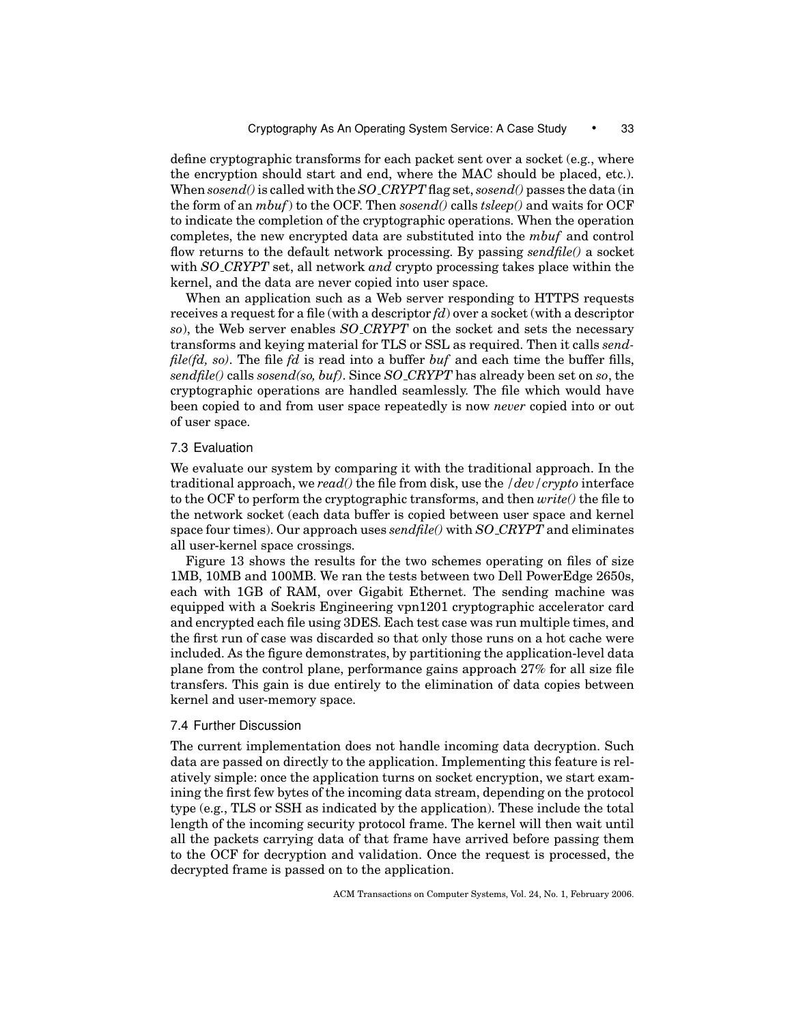define cryptographic transforms for each packet sent over a socket (e.g., where the encryption should start and end, where the MAC should be placed, etc.). When *sosend()* is called with the *SO CRYPT* flag set, *sosend()* passes the data (in the form of an *mbuf*) to the OCF. Then *sosend()* calls *tsleep()* and waits for OCF to indicate the completion of the cryptographic operations. When the operation completes, the new encrypted data are substituted into the *mbuf* and control flow returns to the default network processing. By passing *sendfile()* a socket with *SO CRYPT* set, all network *and* crypto processing takes place within the kernel, and the data are never copied into user space.

When an application such as a Web server responding to HTTPS requests receives a request for a file (with a descriptor *fd*) over a socket (with a descriptor *so*), the Web server enables *SO CRYPT* on the socket and sets the necessary transforms and keying material for TLS or SSL as required. Then it calls *sendfile(fd, so)*. The file *fd* is read into a buffer *buf* and each time the buffer fills, *sendfile()* calls *sosend(so, buf)*. Since *SO CRYPT* has already been set on *so*, the cryptographic operations are handled seamlessly. The file which would have been copied to and from user space repeatedly is now *never* copied into or out of user space.

# 7.3 Evaluation

We evaluate our system by comparing it with the traditional approach. In the traditional approach, we *read()* the file from disk, use the */dev/crypto* interface to the OCF to perform the cryptographic transforms, and then *write()* the file to the network socket (each data buffer is copied between user space and kernel space four times). Our approach uses *sendfile()* with *SO CRYPT* and eliminates all user-kernel space crossings.

Figure 13 shows the results for the two schemes operating on files of size 1MB, 10MB and 100MB. We ran the tests between two Dell PowerEdge 2650s, each with 1GB of RAM, over Gigabit Ethernet. The sending machine was equipped with a Soekris Engineering vpn1201 cryptographic accelerator card and encrypted each file using 3DES. Each test case was run multiple times, and the first run of case was discarded so that only those runs on a hot cache were included. As the figure demonstrates, by partitioning the application-level data plane from the control plane, performance gains approach 27% for all size file transfers. This gain is due entirely to the elimination of data copies between kernel and user-memory space.

## 7.4 Further Discussion

The current implementation does not handle incoming data decryption. Such data are passed on directly to the application. Implementing this feature is relatively simple: once the application turns on socket encryption, we start examining the first few bytes of the incoming data stream, depending on the protocol type (e.g., TLS or SSH as indicated by the application). These include the total length of the incoming security protocol frame. The kernel will then wait until all the packets carrying data of that frame have arrived before passing them to the OCF for decryption and validation. Once the request is processed, the decrypted frame is passed on to the application.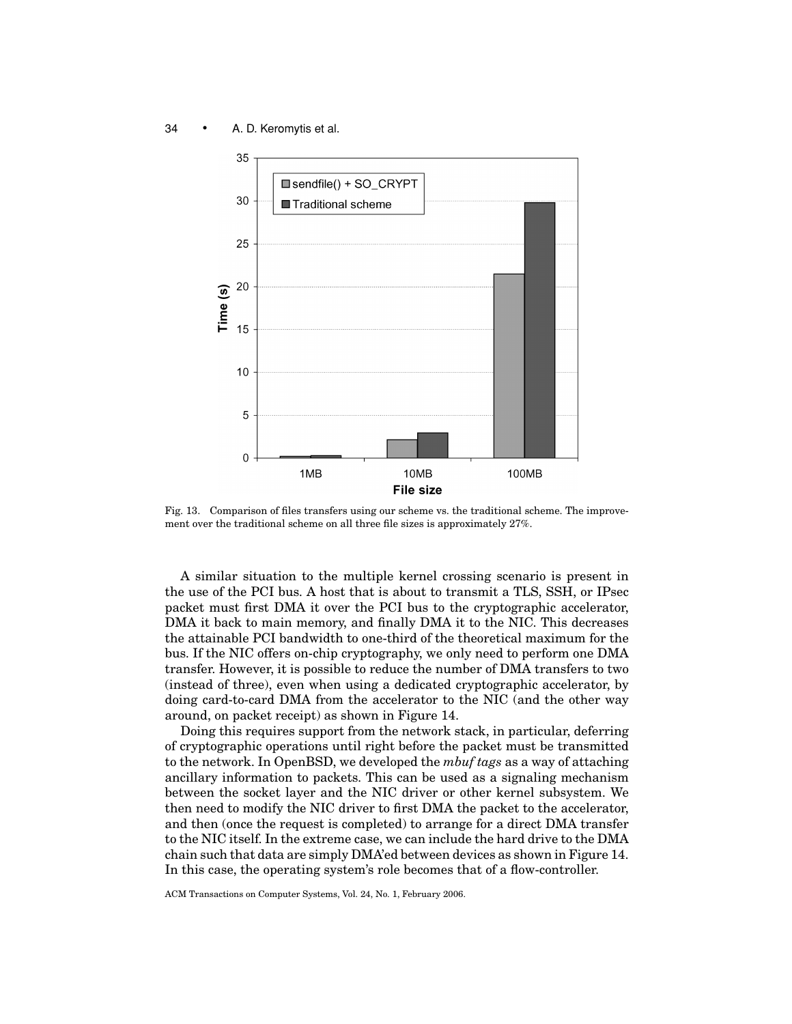34 • A. D. Keromytis et al.



Fig. 13. Comparison of files transfers using our scheme vs. the traditional scheme. The improvement over the traditional scheme on all three file sizes is approximately 27%.

A similar situation to the multiple kernel crossing scenario is present in the use of the PCI bus. A host that is about to transmit a TLS, SSH, or IPsec packet must first DMA it over the PCI bus to the cryptographic accelerator, DMA it back to main memory, and finally DMA it to the NIC. This decreases the attainable PCI bandwidth to one-third of the theoretical maximum for the bus. If the NIC offers on-chip cryptography, we only need to perform one DMA transfer. However, it is possible to reduce the number of DMA transfers to two (instead of three), even when using a dedicated cryptographic accelerator, by doing card-to-card DMA from the accelerator to the NIC (and the other way around, on packet receipt) as shown in Figure 14.

Doing this requires support from the network stack, in particular, deferring of cryptographic operations until right before the packet must be transmitted to the network. In OpenBSD, we developed the *mbuf tags* as a way of attaching ancillary information to packets. This can be used as a signaling mechanism between the socket layer and the NIC driver or other kernel subsystem. We then need to modify the NIC driver to first DMA the packet to the accelerator, and then (once the request is completed) to arrange for a direct DMA transfer to the NIC itself. In the extreme case, we can include the hard drive to the DMA chain such that data are simply DMA'ed between devices as shown in Figure 14. In this case, the operating system's role becomes that of a flow-controller.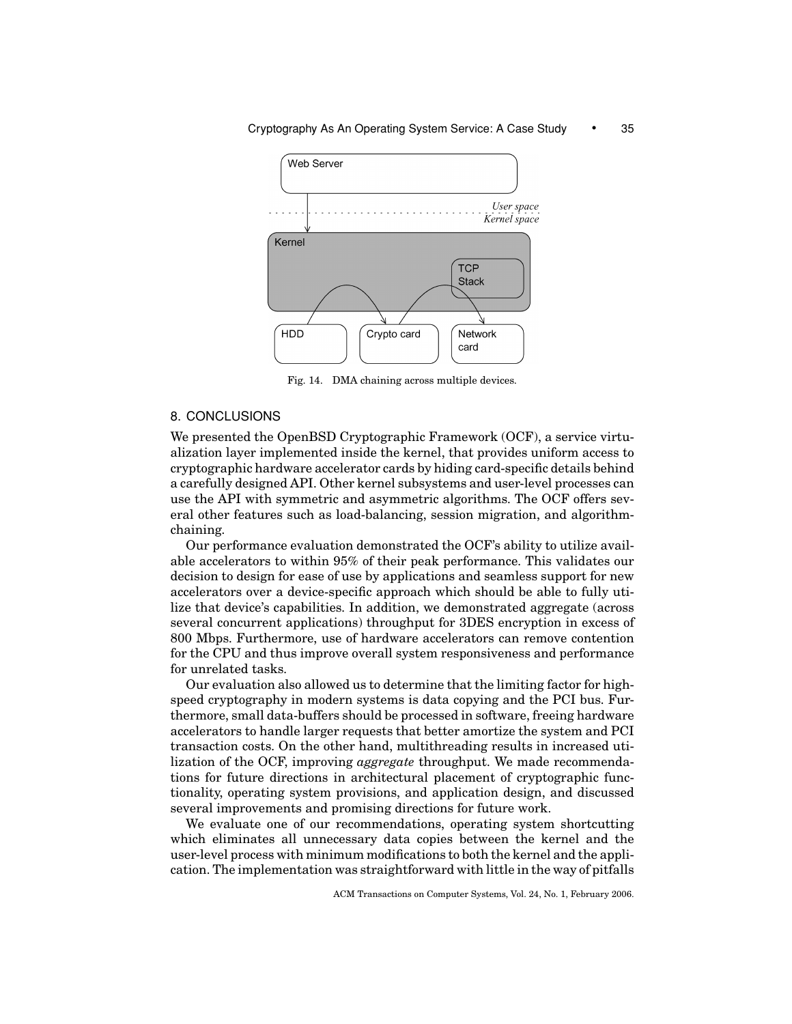

Fig. 14. DMA chaining across multiple devices.

## 8. CONCLUSIONS

We presented the OpenBSD Cryptographic Framework (OCF), a service virtualization layer implemented inside the kernel, that provides uniform access to cryptographic hardware accelerator cards by hiding card-specific details behind a carefully designed API. Other kernel subsystems and user-level processes can use the API with symmetric and asymmetric algorithms. The OCF offers several other features such as load-balancing, session migration, and algorithmchaining.

Our performance evaluation demonstrated the OCF's ability to utilize available accelerators to within 95% of their peak performance. This validates our decision to design for ease of use by applications and seamless support for new accelerators over a device-specific approach which should be able to fully utilize that device's capabilities. In addition, we demonstrated aggregate (across several concurrent applications) throughput for 3DES encryption in excess of 800 Mbps. Furthermore, use of hardware accelerators can remove contention for the CPU and thus improve overall system responsiveness and performance for unrelated tasks.

Our evaluation also allowed us to determine that the limiting factor for highspeed cryptography in modern systems is data copying and the PCI bus. Furthermore, small data-buffers should be processed in software, freeing hardware accelerators to handle larger requests that better amortize the system and PCI transaction costs. On the other hand, multithreading results in increased utilization of the OCF, improving *aggregate* throughput. We made recommendations for future directions in architectural placement of cryptographic functionality, operating system provisions, and application design, and discussed several improvements and promising directions for future work.

We evaluate one of our recommendations, operating system shortcutting which eliminates all unnecessary data copies between the kernel and the user-level process with minimum modifications to both the kernel and the application. The implementation was straightforward with little in the way of pitfalls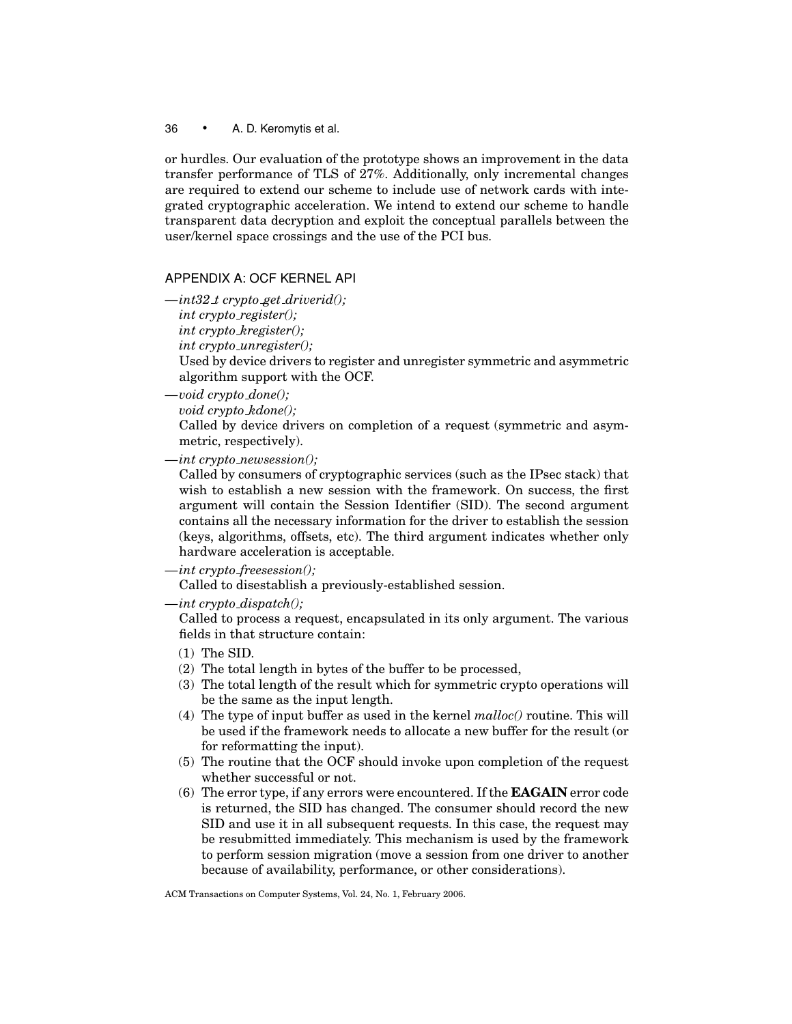or hurdles. Our evaluation of the prototype shows an improvement in the data transfer performance of TLS of 27%. Additionally, only incremental changes are required to extend our scheme to include use of network cards with integrated cryptographic acceleration. We intend to extend our scheme to handle transparent data decryption and exploit the conceptual parallels between the user/kernel space crossings and the use of the PCI bus.

## APPENDIX A: OCF KERNEL API

—*int32 t crypto get driverid();*

*int crypto register();*

*int crypto kregister();*

*int crypto unregister();*

Used by device drivers to register and unregister symmetric and asymmetric algorithm support with the OCF.

—*void crypto done();*

*void crypto kdone();*

Called by device drivers on completion of a request (symmetric and asymmetric, respectively).

—*int crypto newsession();*

Called by consumers of cryptographic services (such as the IPsec stack) that wish to establish a new session with the framework. On success, the first argument will contain the Session Identifier (SID). The second argument contains all the necessary information for the driver to establish the session (keys, algorithms, offsets, etc). The third argument indicates whether only hardware acceleration is acceptable.

—*int crypto freesession();*

Called to disestablish a previously-established session.

—*int crypto dispatch();*

Called to process a request, encapsulated in its only argument. The various fields in that structure contain:

- (1) The SID.
- (2) The total length in bytes of the buffer to be processed,
- (3) The total length of the result which for symmetric crypto operations will be the same as the input length.
- (4) The type of input buffer as used in the kernel *malloc()* routine. This will be used if the framework needs to allocate a new buffer for the result (or for reformatting the input).
- (5) The routine that the OCF should invoke upon completion of the request whether successful or not.
- (6) The error type, if any errors were encountered. If the **EAGAIN** error code is returned, the SID has changed. The consumer should record the new SID and use it in all subsequent requests. In this case, the request may be resubmitted immediately. This mechanism is used by the framework to perform session migration (move a session from one driver to another because of availability, performance, or other considerations).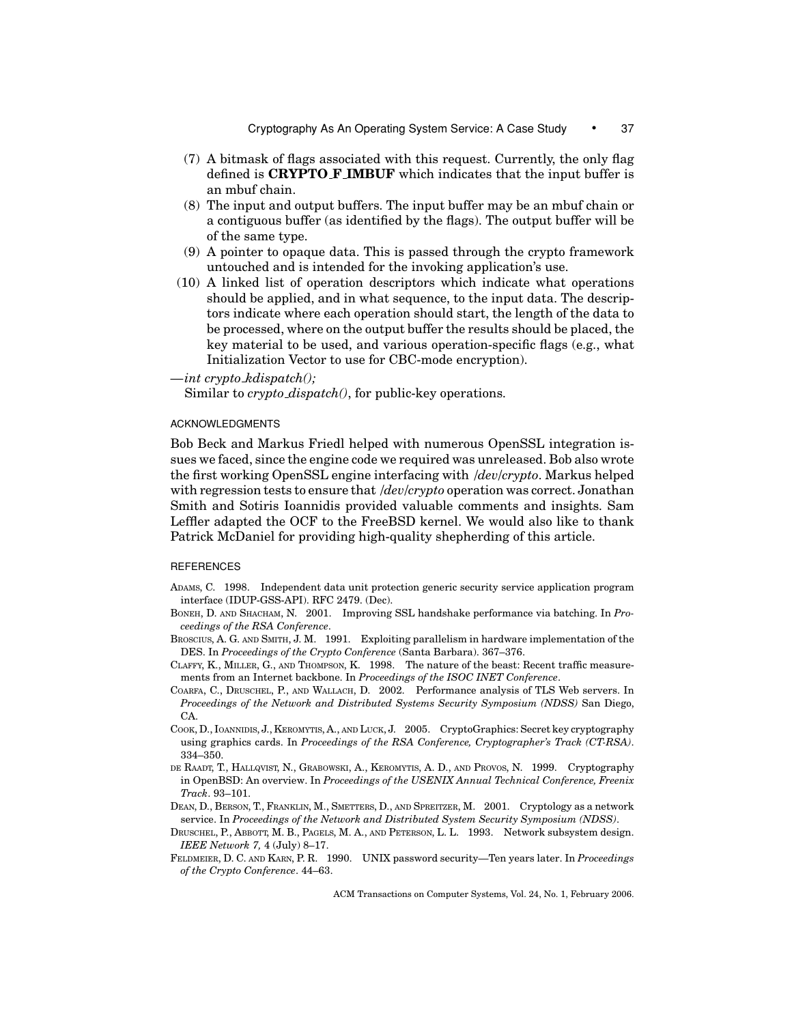- (7) A bitmask of flags associated with this request. Currently, the only flag defined is **CRYPTO F IMBUF** which indicates that the input buffer is an mbuf chain.
- (8) The input and output buffers. The input buffer may be an mbuf chain or a contiguous buffer (as identified by the flags). The output buffer will be of the same type.
- (9) A pointer to opaque data. This is passed through the crypto framework untouched and is intended for the invoking application's use.
- (10) A linked list of operation descriptors which indicate what operations should be applied, and in what sequence, to the input data. The descriptors indicate where each operation should start, the length of the data to be processed, where on the output buffer the results should be placed, the key material to be used, and various operation-specific flags (e.g., what Initialization Vector to use for CBC-mode encryption).

—*int crypto kdispatch();*

Similar to *crypto dispatch()*, for public-key operations.

## ACKNOWLEDGMENTS

Bob Beck and Markus Friedl helped with numerous OpenSSL integration issues we faced, since the engine code we required was unreleased. Bob also wrote the first working OpenSSL engine interfacing with */dev/crypto*. Markus helped with regression tests to ensure that */dev/crypto* operation was correct. Jonathan Smith and Sotiris Ioannidis provided valuable comments and insights. Sam Leffler adapted the OCF to the FreeBSD kernel. We would also like to thank Patrick McDaniel for providing high-quality shepherding of this article.

#### REFERENCES

- ADAMS, C. 1998. Independent data unit protection generic security service application program interface (IDUP-GSS-API). RFC 2479. (Dec).
- BONEH, D. AND SHACHAM, N. 2001. Improving SSL handshake performance via batching. In *Proceedings of the RSA Conference*.
- BROSCIUS, A. G. AND SMITH, J. M. 1991. Exploiting parallelism in hardware implementation of the DES. In *Proceedings of the Crypto Conference* (Santa Barbara). 367–376.
- CLAFFY, K., MILLER, G., AND THOMPSON, K. 1998. The nature of the beast: Recent traffic measurements from an Internet backbone. In *Proceedings of the ISOC INET Conference*.
- COARFA, C., DRUSCHEL, P., AND WALLACH, D. 2002. Performance analysis of TLS Web servers. In *Proceedings of the Network and Distributed Systems Security Symposium (NDSS)* San Diego, CA.
- COOK, D., IOANNIDIS, J., KEROMYTIS, A., AND LUCK, J. 2005. CryptoGraphics: Secret key cryptography using graphics cards. In *Proceedings of the RSA Conference, Cryptographer's Track (CT-RSA)*. 334–350.
- DE RAADT, T., HALLQVIST, N., GRABOWSKI, A., KEROMYTIS, A. D., AND PROVOS, N. 1999. Cryptography in OpenBSD: An overview. In *Proceedings of the USENIX Annual Technical Conference, Freenix Track*. 93–101.
- DEAN, D., BERSON, T., FRANKLIN, M., SMETTERS, D., AND SPREITZER, M. 2001. Cryptology as a network service. In *Proceedings of the Network and Distributed System Security Symposium (NDSS)*.
- DRUSCHEL, P., ABBOTT, M. B., PAGELS, M. A., AND PETERSON, L. L. 1993. Network subsystem design. *IEEE Network 7,* 4 (July) 8–17.
- FELDMEIER, D. C. AND KARN, P. R. 1990. UNIX password security—Ten years later. In *Proceedings of the Crypto Conference*. 44–63.